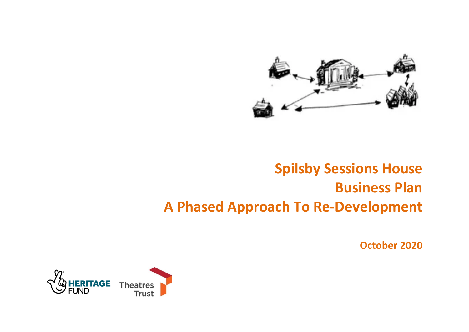

# **Spilsby Sessions House Business Plan A Phased Approach To Re-Development**

**October 2020**

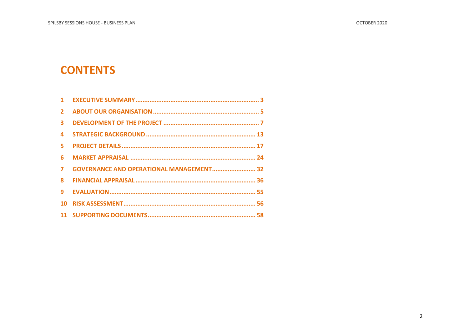# **CONTENTS**

| 1              |                                                 |  |
|----------------|-------------------------------------------------|--|
| $\overline{2}$ |                                                 |  |
| 3              |                                                 |  |
| 4              |                                                 |  |
| 5.             |                                                 |  |
| 6              |                                                 |  |
| $\overline{7}$ | <b>GOVERNANCE AND OPERATIONAL MANAGEMENT 32</b> |  |
| 8              |                                                 |  |
| 9              |                                                 |  |
| 10             |                                                 |  |
|                |                                                 |  |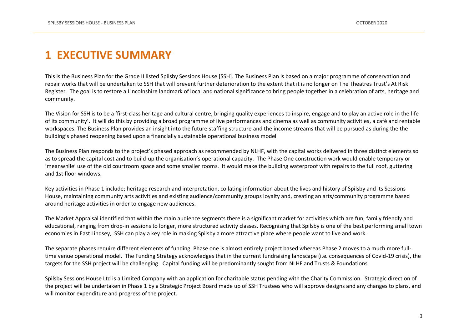# <span id="page-2-0"></span>**1 EXECUTIVE SUMMARY**

This is the Business Plan for the Grade II listed Spilsby Sessions House [SSH]. The Business Plan is based on a major programme of conservation and repair works that will be undertaken to SSH that will prevent further deterioration to the extent that it is no longer on The Theatres Trust's At Risk Register. The goal is to restore a Lincolnshire landmark of local and national significance to bring people together in a celebration of arts, heritage and community.

The Vision for SSH is to be a 'first-class heritage and cultural centre, bringing quality experiences to inspire, engage and to play an active role in the life of its community'. It will do this by providing a broad programme of live performances and cinema as well as community activities, a café and rentable workspaces. The Business Plan provides an insight into the future staffing structure and the income streams that will be pursued as during the the building's phased reopening based upon a financially sustainable operational business model

The Business Plan responds to the project's phased approach as recommended by NLHF, with the capital works delivered in three distinct elements so as to spread the capital cost and to build-up the organisation's operational capacity. The Phase One construction work would enable temporary or 'meanwhile' use of the old courtroom space and some smaller rooms. It would make the building waterproof with repairs to the full roof, guttering and 1st floor windows.

Key activities in Phase 1 include; heritage research and interpretation, collating information about the lives and history of Spilsby and its Sessions House, maintaining community arts activities and existing audience/community groups loyalty and, creating an arts/community programme based around heritage activities in order to engage new audiences.

The Market Appraisal identified that within the main audience segments there is a significant market for activities which are fun, family friendly and educational, ranging from drop-in sessions to longer, more structured activity classes. Recognising that Spilsby is one of the best performing small town economies in East Lindsey, SSH can play a key role in making Spilsby a more attractive place where people want to live and work.

The separate phases require different elements of funding. Phase one is almost entirely project based whereas Phase 2 moves to a much more fulltime venue operational model. The Funding Strategy acknowledges that in the current fundraising landscape (i.e. consequences of Covid-19 crisis), the targets for the SSH project will be challenging. Capital funding will be predominantly sought from NLHF and Trusts & Foundations.

Spilsby Sessions House Ltd is a Limited Company with an application for charitable status pending with the Charity Commission. Strategic direction of the project will be undertaken in Phase 1 by a Strategic Project Board made up of SSH Trustees who will approve designs and any changes to plans, and will monitor expenditure and progress of the project.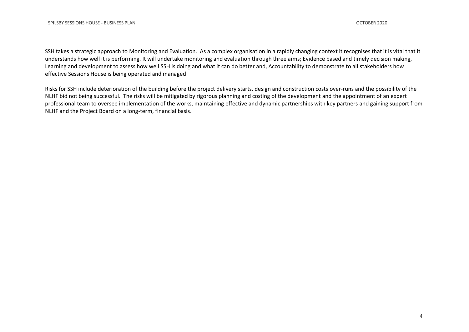SSH takes a strategic approach to Monitoring and Evaluation. As a complex organisation in a rapidly changing context it recognises that it is vital that it understands how well it is performing. It will undertake monitoring and evaluation through three aims; Evidence based and timely decision making, Learning and development to assess how well SSH is doing and what it can do better and, Accountability to demonstrate to all stakeholders how effective Sessions House is being operated and managed

Risks for SSH include deterioration of the building before the project delivery starts, design and construction costs over-runs and the possibility of the NLHF bid not being successful. The risks will be mitigated by rigorous planning and costing of the development and the appointment of an expert professional team to oversee implementation of the works, maintaining effective and dynamic partnerships with key partners and gaining support from NLHF and the Project Board on a long-term, financial basis.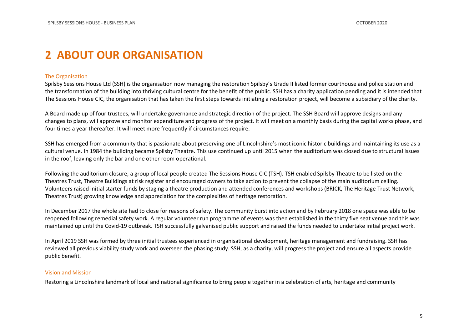# <span id="page-4-0"></span>**2 ABOUT OUR ORGANISATION**

#### The Organisation

Spilsby Sessions House Ltd (SSH) is the organisation now managing the restoration Spilsby's Grade II listed former courthouse and police station and the transformation of the building into thriving cultural centre for the benefit of the public. SSH has a charity application pending and it is intended that The Sessions House CIC, the organisation that has taken the first steps towards initiating a restoration project, will become a subsidiary of the charity.

A Board made up of four trustees, will undertake governance and strategic direction of the project. The SSH Board will approve designs and any changes to plans, will approve and monitor expenditure and progress of the project. It will meet on a monthly basis during the capital works phase, and four times a year thereafter. It will meet more frequently if circumstances require.

SSH has emerged from a community that is passionate about preserving one of Lincolnshire's most iconic historic buildings and maintaining its use as a cultural venue. In 1984 the building became Spilsby Theatre. This use continued up until 2015 when the auditorium was closed due to structural issues in the roof, leaving only the bar and one other room operational.

Following the auditorium closure, a group of local people created The Sessions House CIC (TSH). TSH enabled Spilsby Theatre to be listed on the Theatres Trust, Theatre Buildings at risk register and encouraged owners to take action to prevent the collapse of the main auditorium ceiling. Volunteers raised initial starter funds by staging a theatre production and attended conferences and workshops (BRICK, The Heritage Trust Network, Theatres Trust) growing knowledge and appreciation for the complexities of heritage restoration.

In December 2017 the whole site had to close for reasons of safety. The community burst into action and by February 2018 one space was able to be reopened following remedial safety work. A regular volunteer run programme of events was then established in the thirty five seat venue and this was maintained up until the Covid-19 outbreak. TSH successfully galvanised public support and raised the funds needed to undertake initial project work.

In April 2019 SSH was formed by three initial trustees experienced in organisational development, heritage management and fundraising. SSH has reviewed all previous viability study work and overseen the phasing study. SSH, as a charity, will progress the project and ensure all aspects provide public benefit.

#### Vision and Mission

Restoring a Lincolnshire landmark of local and national significance to bring people together in a celebration of arts, heritage and community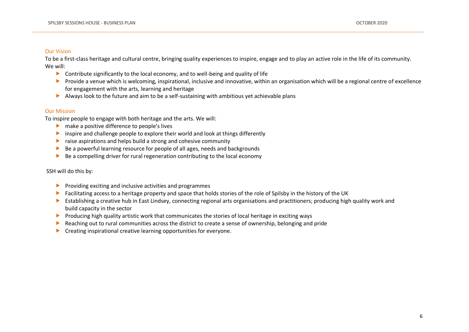#### Our Vision

To be a first-class heritage and cultural centre, bringing quality experiences to inspire, engage and to play an active role in the life of its community. We will:

- $\triangleright$  Contribute significantly to the local economy, and to well-being and quality of life
- P Provide a venue which is welcoming, inspirational, inclusive and innovative, within an organisation which will be a regional centre of excellence for engagement with the arts, learning and heritage
- Always look to the future and aim to be a self-sustaining with ambitious yet achievable plans

#### Our Mission

To inspire people to engage with both heritage and the arts. We will:

- **All make a positive difference to people's lives**
- inspire and challenge people to explore their world and look at things differently
- $\triangleright$  raise aspirations and helps build a strong and cohesive community
- Be a powerful learning resource for people of all ages, needs and backgrounds
- $\triangleright$  Be a compelling driver for rural regeneration contributing to the local economy

SSH will do this by:

- $\blacktriangleright$  Providing exciting and inclusive activities and programmes
- Facilitating access to a heritage property and space that holds stories of the role of Spilsby in the history of the UK
- Establishing a creative hub in East Lindsey, connecting regional arts organisations and practitioners; producing high quality work and build capacity in the sector
- **Producing high quality artistic work that communicates the stories of local heritage in exciting ways**
- Reaching out to rural communities across the district to create a sense of ownership, belonging and pride
- $\blacktriangleright$  Creating inspirational creative learning opportunities for everyone.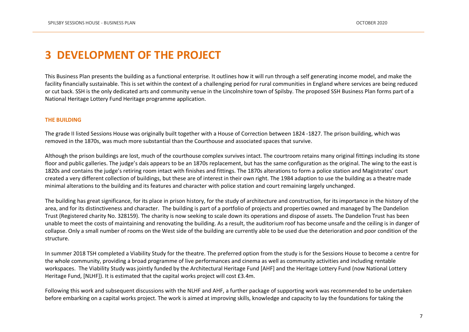## <span id="page-6-0"></span>**3 DEVELOPMENT OF THE PROJECT**

This Business Plan presents the building as a functional enterprise. It outlines how it will run through a self generating income model, and make the facility financially sustainable. This is set within the context of a challenging period for rural communities in England where services are being reduced or cut back. SSH is the only dedicated arts and community venue in the Lincolnshire town of Spilsby. The proposed SSH Business Plan forms part of a National Heritage Lottery Fund Heritage programme application.

#### **THE BUILDING**

The grade II listed Sessions House was originally built together with a House of Correction between 1824 -1827. The prison building, which was removed in the 1870s, was much more substantial than the Courthouse and associated spaces that survive.

Although the prison buildings are lost, much of the courthouse complex survives intact. The courtroom retains many original fittings including its stone floor and public galleries. The judge's dais appears to be an 1870s replacement, but has the same configuration as the original. The wing to the east is 1820s and contains the judge's retiring room intact with finishes and fittings. The 1870s alterations to form a police station and Magistrates' court created a very different collection of buildings, but these are of interest in their own right. The 1984 adaption to use the building as a theatre made minimal alterations to the building and its features and character with police station and court remaining largely unchanged.

The building has great significance, for its place in prison history, for the study of architecture and construction, for its importance in the history of the area, and for its distinctiveness and character. The building is part of a portfolio of projects and properties owned and managed by The Dandelion Trust (Registered charity No. 328159). The charity is now seeking to scale down its operations and dispose of assets. The Dandelion Trust has been unable to meet the costs of maintaining and renovating the building. As a result, the auditorium roof has become unsafe and the ceiling is in danger of collapse. Only a small number of rooms on the West side of the building are currently able to be used due the deterioration and poor condition of the structure.

In summer 2018 TSH completed a Viability Study for the theatre. The preferred option from the study is for the Sessions House to become a centre for the whole community, providing a broad programme of live performances and cinema as well as community activities and including rentable workspaces. The Viability Study was jointly funded by the Architectural Heritage Fund [AHF] and the Heritage Lottery Fund (now National Lottery Heritage Fund, [NLHF]). It is estimated that the capital works project will cost £3.4m.

Following this work and subsequent discussions with the NLHF and AHF, a further package of supporting work was recommended to be undertaken before embarking on a capital works project. The work is aimed at improving skills, knowledge and capacity to lay the foundations for taking the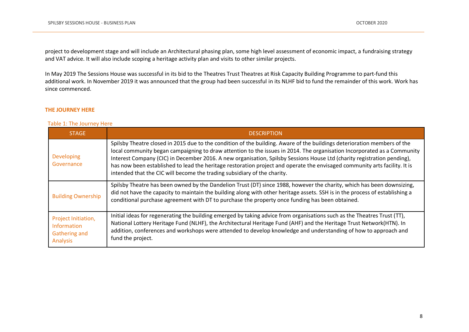project to development stage and will include an Architectural phasing plan, some high level assessment of economic impact, a fundraising strategy and VAT advice. It will also include scoping a heritage activity plan and visits to other similar projects.

In May 2019 The Sessions House was successful in its bid to the Theatres Trust Theatres at Risk Capacity Building Programme to part-fund this additional work. In November 2019 it was announced that the group had been successful in its NLHF bid to fund the remainder of this work. Work has since commenced.

#### **THE JOURNEY HERE**

#### Table 1: The Journey Here

| <b>STAGE</b>                                                                  | <b>DESCRIPTION</b>                                                                                                                                                                                                                                                                                                                                                                                                                                                                                                                                                                       |
|-------------------------------------------------------------------------------|------------------------------------------------------------------------------------------------------------------------------------------------------------------------------------------------------------------------------------------------------------------------------------------------------------------------------------------------------------------------------------------------------------------------------------------------------------------------------------------------------------------------------------------------------------------------------------------|
| <b>Developing</b><br>Governance                                               | Spilsby Theatre closed in 2015 due to the condition of the building. Aware of the buildings deterioration members of the<br>local community began campaigning to draw attention to the issues in 2014. The organisation Incorporated as a Community<br>Interest Company (CIC) in December 2016. A new organisation, Spilsby Sessions House Ltd (charity registration pending),<br>has now been established to lead the heritage restoration project and operate the envisaged community arts facility. It is<br>intended that the CIC will become the trading subsidiary of the charity. |
| <b>Building Ownership</b>                                                     | Spilsby Theatre has been owned by the Dandelion Trust (DT) since 1988, however the charity, which has been downsizing,<br>did not have the capacity to maintain the building along with other heritage assets. SSH is in the process of establishing a<br>conditional purchase agreement with DT to purchase the property once funding has been obtained.                                                                                                                                                                                                                                |
| Project Initiation,<br><b>Information</b><br><b>Gathering and</b><br>Analysis | Initial ideas for regenerating the building emerged by taking advice from organisations such as the Theatres Trust (TT),<br>National Lottery Heritage Fund (NLHF), the Architectural Heritage Fund (AHF) and the Heritage Trust Network(HTN). In<br>addition, conferences and workshops were attended to develop knowledge and understanding of how to approach and<br>fund the project.                                                                                                                                                                                                 |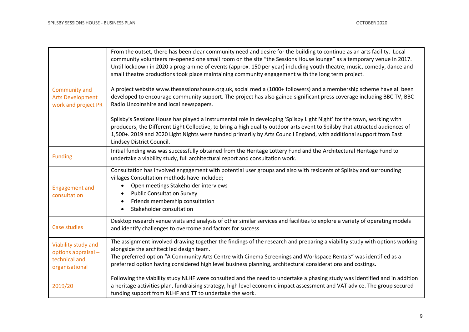| Community and<br><b>Arts Development</b><br>work and project PR               | From the outset, there has been clear community need and desire for the building to continue as an arts facility. Local<br>community volunteers re-opened one small room on the site "the Sessions House lounge" as a temporary venue in 2017.<br>Until lockdown in 2020 a programme of events (approx. 150 per year) including youth theatre, music, comedy, dance and<br>small theatre productions took place maintaining community engagement with the long term project.<br>A project website www.thesessionshouse.org.uk, social media (1000+ followers) and a membership scheme have all been<br>developed to encourage community support. The project has also gained significant press coverage including BBC TV, BBC<br>Radio Lincolnshire and local newspapers.<br>Spilsby's Sessions House has played a instrumental role in developing 'Spilsby Light Night' for the town, working with<br>producers, the Different Light Collective, to bring a high quality outdoor arts event to Spilsby that attracted audiences of<br>1,500+. 2019 and 2020 Light Nights were funded primarily by Arts Council England, with additional support from East |
|-------------------------------------------------------------------------------|------------------------------------------------------------------------------------------------------------------------------------------------------------------------------------------------------------------------------------------------------------------------------------------------------------------------------------------------------------------------------------------------------------------------------------------------------------------------------------------------------------------------------------------------------------------------------------------------------------------------------------------------------------------------------------------------------------------------------------------------------------------------------------------------------------------------------------------------------------------------------------------------------------------------------------------------------------------------------------------------------------------------------------------------------------------------------------------------------------------------------------------------------------|
|                                                                               | Lindsey District Council.                                                                                                                                                                                                                                                                                                                                                                                                                                                                                                                                                                                                                                                                                                                                                                                                                                                                                                                                                                                                                                                                                                                                  |
| <b>Funding</b>                                                                | Initial funding was was successfully obtained from the Heritage Lottery Fund and the Architectural Heritage Fund to<br>undertake a viability study, full architectural report and consultation work.                                                                                                                                                                                                                                                                                                                                                                                                                                                                                                                                                                                                                                                                                                                                                                                                                                                                                                                                                       |
| <b>Engagement and</b><br>consultation                                         | Consultation has involved engagement with potential user groups and also with residents of Spilsby and surrounding<br>villages Consultation methods have included;<br>Open meetings Stakeholder interviews<br>$\bullet$<br><b>Public Consultation Survey</b><br>$\bullet$<br>Friends membership consultation<br>$\bullet$<br>Stakeholder consultation                                                                                                                                                                                                                                                                                                                                                                                                                                                                                                                                                                                                                                                                                                                                                                                                      |
| <b>Case studies</b>                                                           | Desktop research venue visits and analysis of other similar services and facilities to explore a variety of operating models<br>and identify challenges to overcome and factors for success.                                                                                                                                                                                                                                                                                                                                                                                                                                                                                                                                                                                                                                                                                                                                                                                                                                                                                                                                                               |
| Viability study and<br>options appraisal -<br>technical and<br>organisational | The assignment involved drawing together the findings of the research and preparing a viability study with options working<br>alongside the architect led design team.<br>The preferred option "A Community Arts Centre with Cinema Screenings and Workspace Rentals" was identified as a<br>preferred option having considered high level business planning, architectural considerations and costings.                                                                                                                                                                                                                                                                                                                                                                                                                                                                                                                                                                                                                                                                                                                                                   |
| 2019/20                                                                       | Following the viability study NLHF were consulted and the need to undertake a phasing study was identified and in addition<br>a heritage activities plan, fundraising strategy, high level economic impact assessment and VAT advice. The group secured<br>funding support from NLHF and TT to undertake the work.                                                                                                                                                                                                                                                                                                                                                                                                                                                                                                                                                                                                                                                                                                                                                                                                                                         |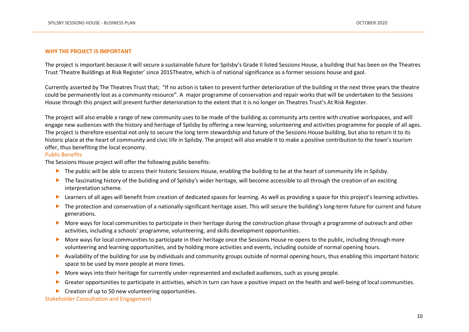#### **WHY THE PROJECT IS IMPORTANT**

The project is important because it will secure a sustainable future for Spilsby's Grade II listed Sessions House, a building that has been on the Theatres Trust 'Theatre Buildings at Risk Register' since 2015Theatre, which is of national significance as a former sessions house and gaol.

Currently asserted by The Theatres Trust that; "If no action is taken to prevent further deterioration of the building in the next three years the theatre could be permanently lost as a community resource". A major programme of conservation and repair works that will be undertaken to the Sessions House through this project will prevent further deterioration to the extent that it is no longer on Theatres Trust's At Risk Register.

The project will also enable a range of new community uses to be made of the building as community arts centre with creative workspaces, and will engage new audiences with the history and heritage of Spilsby by offering a new learning, volunteering and activities programme for people of all ages. The project is therefore essential not only to secure the long term stewardship and future of the Sessions House building, but also to return it to its historic place at the heart of community and civic life in Spilsby. The project will also enable it to make a positive contribution to the town's tourism offer, thus benefiting the local economy.

#### Public Benefits

The Sessions House project will offer the following public benefits:

- The public will be able to access their historic Sessions House, enabling the building to be at the heart of community life in Spilsby.
- $\triangleright$  The fascinating history of the building and of Spilsby's wider heritage, will become accessible to all through the creation of an exciting interpretation scheme.
- Learners of all ages will benefit from creation of dedicated spaces for learning. As well as providing a space for this project's learning activities.
- ▶ The protection and conservation of a nationally-significant heritage asset. This will secure the building's long-term future for current and future generations.
- More ways for local communities to participate in their heritage during the construction phase through a programme of outreach and other activities, including a schools' programme, volunteering, and skills development opportunities.
- More ways for local communities to participate in their heritage once the Sessions House re-opens to the public, including through more volunteering and learning opportunities, and by holding more activities and events, including outside of normal opening hours.
- Availability of the building for use by individuals and community groups outside of normal opening hours, thus enabling this important historic space to be used by more people at more times.
- More ways into their heritage for currently under-represented and excluded audiences, such as young people.
- Greater opportunities to participate in activities, which in turn can have a positive impact on the health and well-being of local communities.
- ▶ Creation of up to 50 new volunteering opportunities.

Stakeholder Consultation and Engagement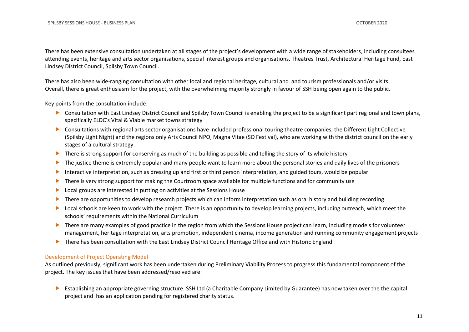There has been extensive consultation undertaken at all stages of the project's development with a wide range of stakeholders, including consultees attending events, heritage and arts sector organisations, special interest groups and organisations, Theatres Trust, Architectural Heritage Fund, East Lindsey District Council, Spilsby Town Council.

There has also been wide-ranging consultation with other local and regional heritage, cultural and and tourism professionals and/or visits. Overall, there is great enthusiasm for the project, with the overwhelming majority strongly in favour of SSH being open again to the public.

Key points from the consultation include:

- ▶ Consultation with East Lindsey District Council and Spilsby Town Council is enabling the project to be a significant part regional and town plans, specifically ELDC's Vital & Viable market towns strategy
- Consultations with regional arts sector organisations have included professional touring theatre companies, the Different Light Collective (Spilsby Light Night) and the regions only Arts Council NPO, Magna Vitae (SO Festival), who are working with the district council on the early stages of a cultural strategy.
- $\blacktriangleright$  There is strong support for conserving as much of the building as possible and telling the story of its whole history
- The justice theme is extremely popular and many people want to learn more about the personal stories and daily lives of the prisoners
- Interactive interpretation, such as dressing up and first or third person interpretation, and guided tours, would be popular
- **There is very strong support for making the Courtroom space available for multiple functions and for community use**
- Local groups are interested in putting on activities at the Sessions House
- There are opportunities to develop research projects which can inform interpretation such as oral history and building recording
- **Local schools are keen to work with the project. There is an opportunity to develop learning projects, including outreach, which meet the** schools' requirements within the National Curriculum
- ▶ There are many examples of good practice in the region from which the Sessions House project can learn, including models for volunteer management, heritage interpretation, arts promotion, independent cinema, income generation and running community engagement projects
- ▶ There has been consultation with the East Lindsey District Council Heritage Office and with Historic England

#### Development of Project Operating Model

As outlined previously, significant work has been undertaken during Preliminary Viability Process to progress this fundamental component of the project. The key issues that have been addressed/resolved are:

 Establishing an appropriate governing structure. SSH Ltd (a Charitable Company Limited by Guarantee) has now taken over the the capital project and has an application pending for registered charity status.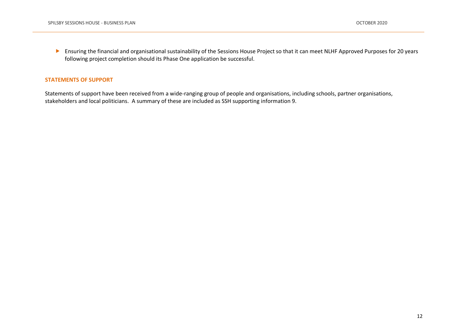Ensuring the financial and organisational sustainability of the Sessions House Project so that it can meet NLHF Approved Purposes for 20 years following project completion should its Phase One application be successful.

#### **STATEMENTS OF SUPPORT**

Statements of support have been received from a wide-ranging group of people and organisations, including schools, partner organisations, stakeholders and local politicians. A summary of these are included as SSH supporting information 9.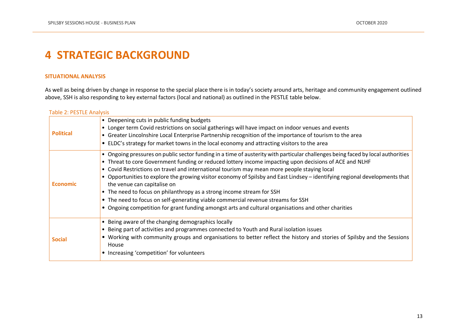# <span id="page-12-0"></span>**4 STRATEGIC BACKGROUND**

#### **SITUATIONAL ANALYSIS**

As well as being driven by change in response to the special place there is in today's society around arts, heritage and community engagement outlined above, SSH is also responding to key external factors (local and national) as outlined in the PESTLE table below.

#### Table 2: PESTLE Analysis

| <b>Political</b> | • Deepening cuts in public funding budgets<br>• Longer term Covid restrictions on social gatherings will have impact on indoor venues and events<br>• Greater Lincolnshire Local Enterprise Partnership recognition of the importance of tourism to the area<br>• ELDC's strategy for market towns in the local economy and attracting visitors to the area                                                                                                                                                                                                                                                                                                                                                                                                                |
|------------------|----------------------------------------------------------------------------------------------------------------------------------------------------------------------------------------------------------------------------------------------------------------------------------------------------------------------------------------------------------------------------------------------------------------------------------------------------------------------------------------------------------------------------------------------------------------------------------------------------------------------------------------------------------------------------------------------------------------------------------------------------------------------------|
| <b>Economic</b>  | • Ongoing pressures on public sector funding in a time of austerity with particular challenges being faced by local authorities<br>• Threat to core Government funding or reduced lottery income impacting upon decisions of ACE and NLHF<br>• Covid Restrictions on travel and international tourism may mean more people staying local<br>• Opportunities to explore the growing visitor economy of Spilsby and East Lindsey – identifying regional developments that<br>the venue can capitalise on<br>• The need to focus on philanthropy as a strong income stream for SSH<br>• The need to focus on self-generating viable commercial revenue streams for SSH<br>• Ongoing competition for grant funding amongst arts and cultural organisations and other charities |
| <b>Social</b>    | • Being aware of the changing demographics locally<br>• Being part of activities and programmes connected to Youth and Rural isolation issues<br>• Working with community groups and organisations to better reflect the history and stories of Spilsby and the Sessions<br>House<br>• Increasing 'competition' for volunteers                                                                                                                                                                                                                                                                                                                                                                                                                                             |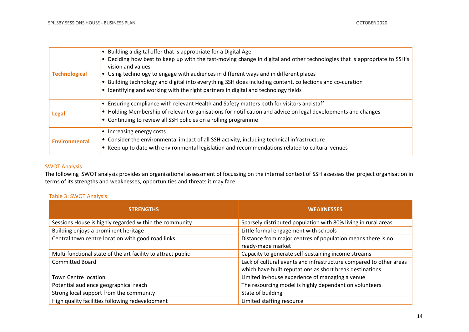|                      | • Building a digital offer that is appropriate for a Digital Age                                                          |
|----------------------|---------------------------------------------------------------------------------------------------------------------------|
|                      | • Deciding how best to keep up with the fast-moving change in digital and other technologies that is appropriate to SSH's |
|                      | vision and values                                                                                                         |
| <b>Technological</b> | • Using technology to engage with audiences in different ways and in different places                                     |
|                      | • Building technology and digital into everything SSH does including content, collections and co-curation                 |
|                      | • Identifying and working with the right partners in digital and technology fields                                        |
|                      | • Ensuring compliance with relevant Health and Safety matters both for visitors and staff                                 |
| <b>Legal</b>         | • Holding Membership of relevant organisations for notification and advice on legal developments and changes              |
|                      | • Continuing to review all SSH policies on a rolling programme                                                            |
|                      | • Increasing energy costs                                                                                                 |
| <b>Environmental</b> | • Consider the environmental impact of all SSH activity, including technical infrastructure                               |
|                      | • Keep up to date with environmental legislation and recommendations related to cultural venues                           |

### SWOT Analysis

The following SWOT analysis provides an organisational assessment of focussing on the internal context of SSH assesses the project organisation in terms of its strengths and weaknesses, opportunities and threats it may face.

### Table 3: SWOT Analysis

| <b>STRENGTHS</b>                                             | <b>WEAKNESSES</b>                                                  |  |
|--------------------------------------------------------------|--------------------------------------------------------------------|--|
| Sessions House is highly regarded within the community       | Sparsely distributed population with 80% living in rural areas     |  |
| Building enjoys a prominent heritage                         | Little formal engagement with schools                              |  |
| Central town centre location with good road links            | Distance from major centres of population means there is no        |  |
|                                                              | ready-made market                                                  |  |
| Multi-functional state of the art facility to attract public | Capacity to generate self-sustaining income streams                |  |
| <b>Committed Board</b>                                       | Lack of cultural events and infrastructure compared to other areas |  |
|                                                              | which have built reputations as short break destinations           |  |
| Town Centre location                                         | Limited in-house experience of managing a venue                    |  |
| Potential audience geographical reach                        | The resourcing model is highly dependant on volunteers.            |  |
| Strong local support from the community                      | State of building                                                  |  |
| High quality facilities following redevelopment              | Limited staffing resource                                          |  |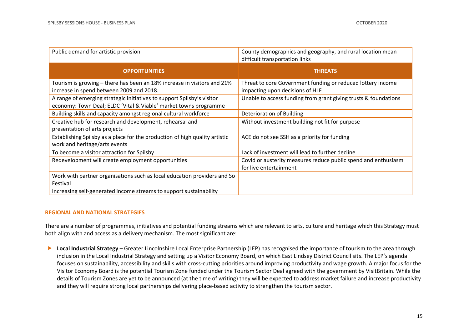| Public demand for artistic provision                                                                                                       | County demographics and geography, and rural location mean<br>difficult transportation links   |
|--------------------------------------------------------------------------------------------------------------------------------------------|------------------------------------------------------------------------------------------------|
| <b>OPPORTUNITIES</b>                                                                                                                       | <b>THREATS</b>                                                                                 |
| Tourism is growing – there has been an 18% increase in visitors and 21%<br>increase in spend between 2009 and 2018.                        | Threat to core Government funding or reduced lottery income<br>impacting upon decisions of HLF |
| A range of emerging strategic initiatives to support Spilsby's visitor<br>economy: Town Deal; ELDC 'Vital & Viable' market towns programme | Unable to access funding from grant giving trusts & foundations                                |
| Building skills and capacity amongst regional cultural workforce                                                                           | Deterioration of Building                                                                      |
| Creative hub for research and development, rehearsal and<br>presentation of arts projects                                                  | Without investment building not fit for purpose                                                |
| Establishing Spilsby as a place for the production of high quality artistic<br>work and heritage/arts events                               | ACE do not see SSH as a priority for funding                                                   |
| To become a visitor attraction for Spilsby                                                                                                 | Lack of investment will lead to further decline                                                |
| Redevelopment will create employment opportunities                                                                                         | Covid or austerity measures reduce public spend and enthusiasm<br>for live entertainment       |
| Work with partner organisations such as local education providers and So<br>Festival                                                       |                                                                                                |
| Increasing self-generated income streams to support sustainability                                                                         |                                                                                                |

#### **REGIONAL AND NATIONAL STRATEGIES**

There are a number of programmes, initiatives and potential funding streams which are relevant to arts, culture and heritage which this Strategy must both align with and access as a delivery mechanism. The most significant are:

**►** Local Industrial Strategy – Greater Lincolnshire Local Enterprise Partnership (LEP) has recognised the importance of tourism to the area through inclusion in the Local Industrial Strategy and setting up a Visitor Economy Board, on which East Lindsey District Council sits. The LEP's agenda focuses on sustainability, accessibility and skills with cross-cutting priorities around improving productivity and wage growth. A major focus for the Visitor Economy Board is the potential Tourism Zone funded under the Tourism Sector Deal agreed with the government by VisitBritain. While the details of Tourism Zones are yet to be announced (at the time of writing) they will be expected to address market failure and increase productivity and they will require strong local partnerships delivering place-based activity to strengthen the tourism sector.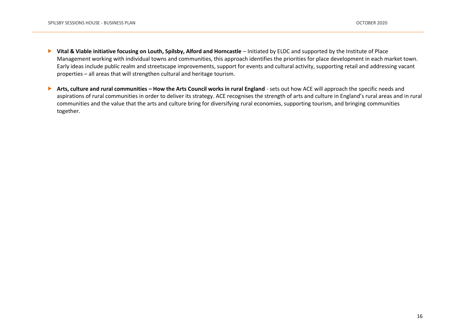- **▶ Vital & Viable initiative focusing on Louth, Spilsby, Alford and Horncastle** Initiated by ELDC and supported by the Institute of Place Management working with individual towns and communities, this approach identifies the priorities for place development in each market town. Early ideas include public realm and streetscape improvements, support for events and cultural activity, supporting retail and addressing vacant properties – all areas that will strengthen cultural and heritage tourism.
- ▶ Arts, culture and rural communities How the Arts Council works in rural England sets out how ACE will approach the specific needs and aspirations of rural communities in order to deliver its strategy. ACE recognises the strength of arts and culture in England's rural areas and in rural communities and the value that the arts and culture bring for diversifying rural economies, supporting tourism, and bringing communities together.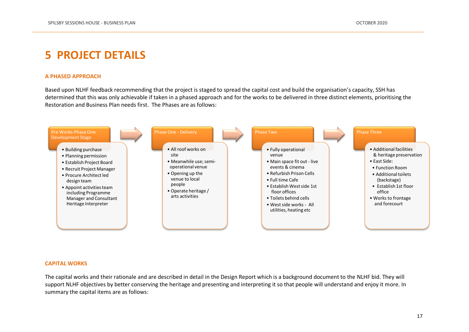# <span id="page-16-0"></span>**5 PROJECT DETAILS**

#### **A PHASED APPROACH**

Based upon NLHF feedback recommending that the project is staged to spread the capital cost and build the organisation's capacity, SSH has determined that this was only achievable if taken in a phased approach and for the works to be delivered in three distinct elements, prioritising the Restoration and Business Plan needs first. The Phases are as follows:



#### **CAPITAL WORKS**

The capital works and their rationale and are described in detail in the Design Report which is a background document to the NLHF bid. They will support NLHF objectives by better conserving the heritage and presenting and interpreting it so that people will understand and enjoy it more. In summary the capital items are as follows: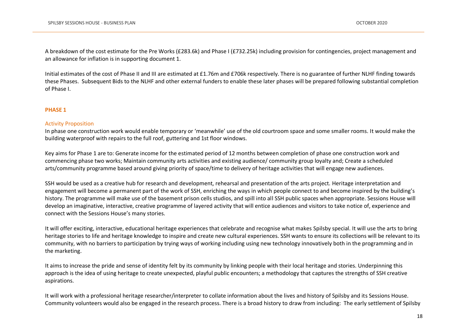A breakdown of the cost estimate for the Pre Works (£283.6k) and Phase I (£732.25k) including provision for contingencies, project management and an allowance for inflation is in supporting document 1.

Initial estimates of the cost of Phase II and III are estimated at £1.76m and £706k respectively. There is no guarantee of further NLHF finding towards these Phases. Subsequent Bids to the NLHF and other external funders to enable these later phases will be prepared following substantial completion of Phase I.

#### **PHASE 1**

#### Activity Proposition

In phase one construction work would enable temporary or 'meanwhile' use of the old courtroom space and some smaller rooms. It would make the building waterproof with repairs to the full roof, guttering and 1st floor windows.

Key aims for Phase 1 are to: Generate income for the estimated period of 12 months between completion of phase one construction work and commencing phase two works; Maintain community arts activities and existing audience/ community group loyalty and; Create a scheduled arts/community programme based around giving priority of space/time to delivery of heritage activities that will engage new audiences.

SSH would be used as a creative hub for research and development, rehearsal and presentation of the arts project. Heritage interpretation and engagement will become a permanent part of the work of SSH, enriching the ways in which people connect to and become inspired by the building's history. The programme will make use of the basement prison cells studios, and spill into all SSH public spaces when appropriate. Sessions House will develop an imaginative, interactive, creative programme of layered activity that will entice audiences and visitors to take notice of, experience and connect with the Sessions House's many stories.

It will offer exciting, interactive, educational heritage experiences that celebrate and recognise what makes Spilsby special. It will use the arts to bring heritage stories to life and heritage knowledge to inspire and create new cultural experiences. SSH wants to ensure its collections will be relevant to its community, with no barriers to participation by trying ways of working including using new technology innovatively both in the programming and in the marketing.

It aims to increase the pride and sense of identity felt by its community by linking people with their local heritage and stories. Underpinning this approach is the idea of using heritage to create unexpected, playful public encounters; a methodology that captures the strengths of SSH creative aspirations.

It will work with a professional heritage researcher/interpreter to collate information about the lives and history of Spilsby and its Sessions House. Community volunteers would also be engaged in the research process. There is a broad history to draw from including: The early settlement of Spilsby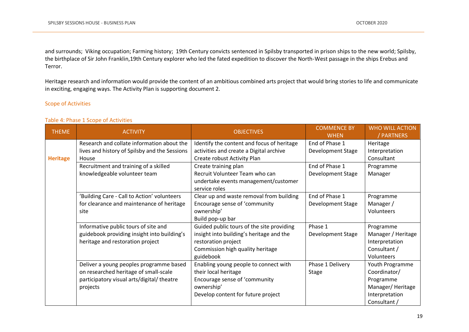and surrounds; Viking occupation; Farming history; 19th Century convicts sentenced in Spilsby transported in prison ships to the new world; Spilsby, the birthplace of Sir John Franklin,19th Century explorer who led the fated expedition to discover the North-West passage in the ships Erebus and Terror.

Heritage research and information would provide the content of an ambitious combined arts project that would bring stories to life and communicate in exciting, engaging ways. The Activity Plan is supporting document 2.

### Scope of Activities

#### Table 4: Phase 1 Scope of Activities

| <b>THEME</b>    | <b>ACTIVITY</b>                               | <b>OBJECTIVES</b>                          | <b>COMMENCE BY</b><br><b>WHEN</b> | <b>WHO WILL ACTION</b><br><b>PARTNERS</b> |
|-----------------|-----------------------------------------------|--------------------------------------------|-----------------------------------|-------------------------------------------|
|                 | Research and collate information about the    | Identify the content and focus of heritage | End of Phase 1                    | Heritage                                  |
|                 | lives and history of Spilsby and the Sessions | activities and create a Digital archive    | Development Stage                 | Interpretation                            |
| <b>Heritage</b> | House                                         | Create robust Activity Plan                |                                   | Consultant                                |
|                 | Recruitment and training of a skilled         | Create training plan                       | End of Phase 1                    | Programme                                 |
|                 | knowledgeable volunteer team                  | Recruit Volunteer Team who can             | Development Stage                 | Manager                                   |
|                 |                                               | undertake events management/customer       |                                   |                                           |
|                 |                                               | service roles                              |                                   |                                           |
|                 | 'Building Care - Call to Action' volunteers   | Clear up and waste removal from building   | End of Phase 1                    | Programme                                 |
|                 | for clearance and maintenance of heritage     | Encourage sense of 'community              | Development Stage                 | Manager /                                 |
|                 | site                                          | ownership'                                 |                                   | Volunteers                                |
|                 |                                               | Build pop-up bar                           |                                   |                                           |
|                 | Informative public tours of site and          | Guided public tours of the site providing  | Phase 1                           | Programme                                 |
|                 | guidebook providing insight into building's   | insight into building's heritage and the   | Development Stage                 | Manager / Heritage                        |
|                 | heritage and restoration project              | restoration project                        |                                   | Interpretation                            |
|                 |                                               | Commission high quality heritage           |                                   | Consultant /                              |
|                 |                                               | guidebook                                  |                                   | Volunteers                                |
|                 | Deliver a young peoples programme based       | Enabling young people to connect with      | Phase 1 Delivery                  | Youth Programme                           |
|                 | on researched heritage of small-scale         | their local heritage                       | <b>Stage</b>                      | Coordinator/                              |
|                 | participatory visual arts/digital/ theatre    | Encourage sense of 'community              |                                   | Programme                                 |
|                 | projects                                      | ownership'                                 |                                   | Manager/Heritage                          |
|                 |                                               | Develop content for future project         |                                   | Interpretation                            |
|                 |                                               |                                            |                                   | Consultant /                              |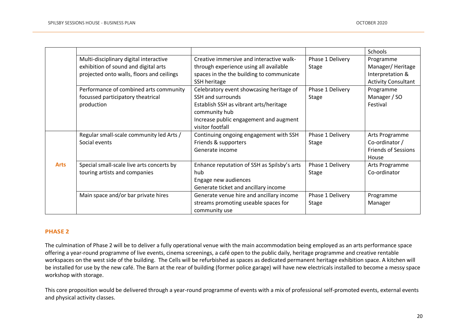|             |                                           |                                             |                  | Schools                    |
|-------------|-------------------------------------------|---------------------------------------------|------------------|----------------------------|
|             | Multi-disciplinary digital interactive    | Creative immersive and interactive walk-    | Phase 1 Delivery | Programme                  |
|             | exhibition of sound and digital arts      | through experience using all available      | <b>Stage</b>     | Manager/Heritage           |
|             | projected onto walls, floors and ceilings | spaces in the the building to communicate   |                  | Interpretation &           |
|             |                                           | SSH heritage                                |                  | <b>Activity Consultant</b> |
|             | Performance of combined arts community    | Celebratory event showcasing heritage of    | Phase 1 Delivery | Programme                  |
|             | focussed participatory theatrical         | SSH and surrounds                           | <b>Stage</b>     | Manager / SO               |
|             | production                                | Establish SSH as vibrant arts/heritage      |                  | Festival                   |
|             |                                           | community hub                               |                  |                            |
|             |                                           | Increase public engagement and augment      |                  |                            |
|             |                                           | visitor footfall                            |                  |                            |
|             | Regular small-scale community led Arts /  | Continuing ongoing engagement with SSH      | Phase 1 Delivery | Arts Programme             |
|             | Social events                             | Friends & supporters                        | <b>Stage</b>     | Co-ordinator /             |
|             |                                           | Generate income                             |                  | <b>Friends of Sessions</b> |
|             |                                           |                                             |                  | House                      |
| <b>Arts</b> | Special small-scale live arts concerts by | Enhance reputation of SSH as Spilsby's arts | Phase 1 Delivery | Arts Programme             |
|             | touring artists and companies             | hub                                         | <b>Stage</b>     | Co-ordinator               |
|             |                                           | Engage new audiences                        |                  |                            |
|             |                                           | Generate ticket and ancillary income        |                  |                            |
|             | Main space and/or bar private hires       | Generate venue hire and ancillary income    | Phase 1 Delivery | Programme                  |
|             |                                           | streams promoting useable spaces for        | <b>Stage</b>     | Manager                    |
|             |                                           | community use                               |                  |                            |

#### **PHASE 2**

The culmination of Phase 2 will be to deliver a fully operational venue with the main accommodation being employed as an arts performance space offering a year-round programme of live events, cinema screenings, a café open to the public daily, heritage programme and creative rentable workspaces on the west side of the building. The Cells will be refurbished as spaces as dedicated permanent heritage exhibition space. A kitchen will be installed for use by the new café. The Barn at the rear of building (former police garage) will have new electricals installed to become a messy space workshop with storage.

This core proposition would be delivered through a year-round programme of events with a mix of professional self-promoted events, external events and physical activity classes.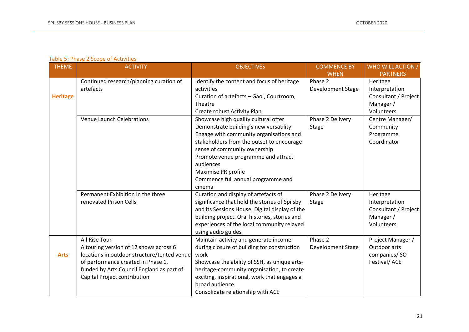### Table 5: Phase 2 Scope of Activities

| <b>THEME</b>    | <b>ACTIVITY</b>                                                                                                                                                                                                           | <b>OBJECTIVES</b>                                                                                                                                                                                                                                                                                                                 | <b>COMMENCE BY</b>               | WHO WILL ACTION /                                                             |
|-----------------|---------------------------------------------------------------------------------------------------------------------------------------------------------------------------------------------------------------------------|-----------------------------------------------------------------------------------------------------------------------------------------------------------------------------------------------------------------------------------------------------------------------------------------------------------------------------------|----------------------------------|-------------------------------------------------------------------------------|
|                 |                                                                                                                                                                                                                           |                                                                                                                                                                                                                                                                                                                                   | <b>WHEN</b>                      | <b>PARTNERS</b>                                                               |
| <b>Heritage</b> | Continued research/planning curation of<br>artefacts                                                                                                                                                                      | Identify the content and focus of heritage<br>activities<br>Curation of artefacts - Gaol, Courtroom,<br>Theatre<br>Create robust Activity Plan                                                                                                                                                                                    | Phase 2<br>Development Stage     | Heritage<br>Interpretation<br>Consultant / Project<br>Manager /<br>Volunteers |
|                 | <b>Venue Launch Celebrations</b>                                                                                                                                                                                          | Showcase high quality cultural offer<br>Demonstrate building's new versatility<br>Engage with community organisations and<br>stakeholders from the outset to encourage<br>sense of community ownership<br>Promote venue programme and attract<br>audiences<br>Maximise PR profile<br>Commence full annual programme and<br>cinema | Phase 2 Delivery<br><b>Stage</b> | Centre Manager/<br>Community<br>Programme<br>Coordinator                      |
|                 | Permanent Exhibition in the three<br>renovated Prison Cells                                                                                                                                                               | Curation and display of artefacts of<br>significance that hold the stories of Spilsby<br>and its Sessions House. Digital display of the<br>building project. Oral histories, stories and<br>experiences of the local community relayed<br>using audio guides                                                                      | Phase 2 Delivery<br><b>Stage</b> | Heritage<br>Interpretation<br>Consultant / Project<br>Manager /<br>Volunteers |
| <b>Arts</b>     | All Rise Tour<br>A touring version of 12 shows across 6<br>locations in outdoor structure/tented venue<br>of performance created in Phase 1.<br>funded by Arts Council England as part of<br>Capital Project contribution | Maintain activity and generate income<br>during closure of building for construction<br>work<br>Showcase the ability of SSH, as unique arts-<br>heritage-community organisation, to create<br>exciting, inspirational, work that engages a<br>broad audience.<br>Consolidate relationship with ACE                                | Phase 2<br>Development Stage     | Project Manager /<br>Outdoor arts<br>companies/SO<br>Festival/ACE             |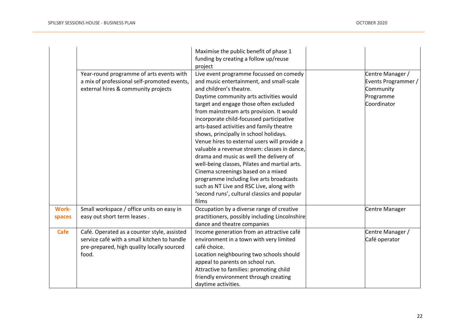|                        |                                                                                                                                                   | Maximise the public benefit of phase 1<br>funding by creating a follow up/reuse<br>project                                                                                                                                                                                                                                                                                                                                                                                                                                                                                                                                                                                                                                                                  |                                                                                  |
|------------------------|---------------------------------------------------------------------------------------------------------------------------------------------------|-------------------------------------------------------------------------------------------------------------------------------------------------------------------------------------------------------------------------------------------------------------------------------------------------------------------------------------------------------------------------------------------------------------------------------------------------------------------------------------------------------------------------------------------------------------------------------------------------------------------------------------------------------------------------------------------------------------------------------------------------------------|----------------------------------------------------------------------------------|
|                        | Year-round programme of arts events with<br>a mix of professional self-promoted events,<br>external hires & community projects                    | Live event programme focussed on comedy<br>and music entertainment, and small-scale<br>and children's theatre.<br>Daytime community arts activities would<br>target and engage those often excluded<br>from mainstream arts provision. It would<br>incorporate child-focussed participative<br>arts-based activities and family theatre<br>shows, principally in school holidays.<br>Venue hires to external users will provide a<br>valuable a revenue stream: classes in dance,<br>drama and music as well the delivery of<br>well-being classes, Pilates and martial arts.<br>Cinema screenings based on a mixed<br>programme including live arts broadcasts<br>such as NT Live and RSC Live, along with<br>'second runs', cultural classics and popular | Centre Manager /<br>Events Programmer /<br>Community<br>Programme<br>Coordinator |
| <b>Work-</b><br>spaces | Small workspace / office units on easy in<br>easy out short term leases.                                                                          | films<br>Occupation by a diverse range of creative<br>practitioners, possibly including Lincolnshire                                                                                                                                                                                                                                                                                                                                                                                                                                                                                                                                                                                                                                                        | Centre Manager                                                                   |
| Cafe                   | Café. Operated as a counter style, assisted<br>service café with a small kitchen to handle<br>pre-prepared, high quality locally sourced<br>food. | dance and theatre companies<br>Income generation from an attractive café<br>environment in a town with very limited<br>café choice.<br>Location neighbouring two schools should<br>appeal to parents on school run.<br>Attractive to families: promoting child<br>friendly environment through creating<br>daytime activities.                                                                                                                                                                                                                                                                                                                                                                                                                              | Centre Manager /<br>Café operator                                                |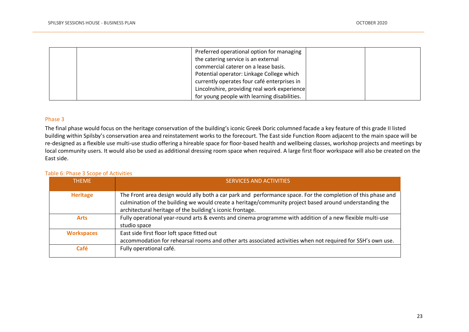|  | Preferred operational option for managing    |  |
|--|----------------------------------------------|--|
|  | the catering service is an external          |  |
|  | commercial caterer on a lease basis.         |  |
|  | Potential operator: Linkage College which    |  |
|  | currently operates four café enterprises in  |  |
|  | Lincolnshire, providing real work experience |  |
|  | for young people with learning disabilities. |  |

#### Phase 3

The final phase would focus on the heritage conservation of the building's iconic Greek Doric columned facade a key feature of this grade II listed building within Spilsby's conservation area and reinstatement works to the forecourt. The East side Function Room adjacent to the main space will be re-designed as a flexible use multi-use studio offering a hireable space for floor-based health and wellbeing classes, workshop projects and meetings by local community users. It would also be used as additional dressing room space when required. A large first floor workspace will also be created on the East side.

#### Table 6: Phase 3 Scope of Activities

| <b>THFMF</b>      | SERVICES AND ACTIVITIES                                                                                                                                                                                                                                                              |
|-------------------|--------------------------------------------------------------------------------------------------------------------------------------------------------------------------------------------------------------------------------------------------------------------------------------|
| <b>Heritage</b>   | The Front area design would ally both a car park and performance space. For the completion of this phase and<br>culmination of the building we would create a heritage/community project based around understanding the<br>architectural heritage of the building's iconic frontage. |
| <b>Arts</b>       | Fully operational year-round arts & events and cinema programme with addition of a new flexible multi-use<br>studio space                                                                                                                                                            |
| <b>Workspaces</b> | East side first floor loft space fitted out<br>accommodation for rehearsal rooms and other arts associated activities when not required for SSH's own use.                                                                                                                           |
| Café              | Fully operational café.                                                                                                                                                                                                                                                              |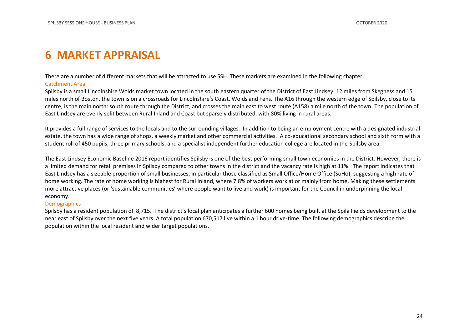# <span id="page-23-0"></span>**6 MARKET APPRAISAL**

There are a number of different markets that will be attracted to use SSH. These markets are examined in the following chapter.

#### Catchment Area

Spilsby is a small Lincolnshire Wolds market town located in the south eastern quarter of the District of East Lindsey. 12 miles from Skegness and 15 miles north of Boston, the town is on a crossroads for Lincolnshire's Coast, Wolds and Fens. The A16 through the western edge of Spilsby, close to its centre, is the main north: south route through the District, and crosses the main east to west route (A158) a mile north of the town. The population of East Lindsey are evenly split between Rural Inland and Coast but sparsely distributed, with 80% living in rural areas.

It provides a full range of services to the locals and to the surrounding villages. In addition to being an employment centre with a designated industrial estate, the town has a wide range of shops, a weekly market and other commercial activities. A co-educational secondary school and sixth form with a student roll of 450 pupils, three primary schools, and a specialist independent further education college are located in the Spilsby area.

The East Lindsey Economic Baseline 2016 report identifies Spilsby is one of the best performing small town economies in the District. However, there is a limited demand for retail premises in Spilsby compared to other towns in the district and the vacancy rate is high at 11%. The report indicates that East Lindsey has a sizeable proportion of small businesses, in particular those classified as Small Office/Home Office (SoHo), suggesting a high rate of home working. The rate of home working is highest for Rural Inland, where 7.8% of workers work at or mainly from home. Making these settlements more attractive places (or 'sustainable communities' where people want to live and work) is important for the Council in underpinning the local economy.

#### **Demographics**

Spilsby has a resident population of 8,715. The district's local plan anticipates a further 600 homes being built at the Spila Fields development to the near east of Spilsby over the next five years. A total population 670,517 live within a 1 hour drive-time. The following demographics describe the population within the local resident and wider target populations.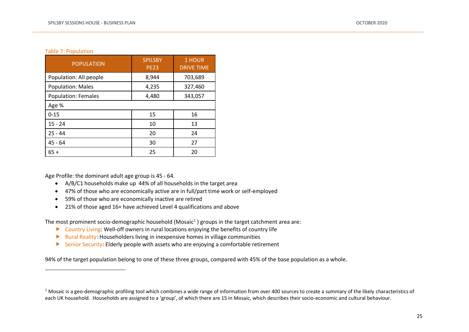#### Table 7: Population

| <b>POPULATION</b>          | <b>SPILSBY</b><br><b>PE23</b> | 1 HOUR<br><b>DRIVE TIME</b> |
|----------------------------|-------------------------------|-----------------------------|
| Population: All people     | 8,944                         | 703,689                     |
| <b>Population: Males</b>   | 4,235                         | 327,460                     |
| <b>Population: Females</b> | 4,480                         | 343,057                     |
| Age %                      |                               |                             |
| $0 - 15$                   | 15                            | 16                          |
| $15 - 24$                  | 10                            | 13                          |
| $25 - 44$                  | 20                            | 24                          |
| $45 - 64$                  | 30                            | 27                          |
| $65+$                      | 25                            | 20                          |

Age Profile: the dominant adult age group is 45 - 64.

- A/B/C1 households make up 44% of all households in the target area
- 47% of those who are economically active are in full/part time work or self-employed
- 59% of those who are economically inactive are retired
- 21% of those aged 16+ have achieved Level 4 qualifications and above

The most prominent socio-demographic household (Mosaic<sup>1</sup>) groups in the target catchment area are:

- ▶ Country Living: Well-off owners in rural locations enjoying the benefits of country life
- Rural Reality: Householders living in inexpensive homes in village communities
- $\triangleright$  Senior Security: Elderly people with assets who are enjoying a comfortable retirement

94% of the target population belong to one of these three groups, compared with 45% of the base population as a whole.

 $1$  Mosaic is a geo-demographic profiling tool which combines a wide range of information from over 400 sources to create a summary of the likely characteristics of each UK household. Households are assigned to a 'group', of which there are 15 in Mosaic, which describes their socio-economic and cultural behaviour.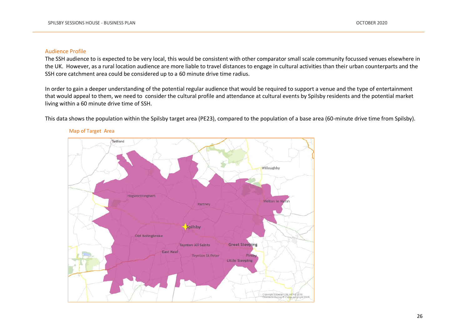#### Audience Profile

The SSH audience to is expected to be very local, this would be consistent with other comparator small scale community focussed venues elsewhere in the UK. However, as a rural location audience are more liable to travel distances to engage in cultural activities than their urban counterparts and the SSH core catchment area could be considered up to a 60 minute drive time radius.

In order to gain a deeper understanding of the potential regular audience that would be required to support a venue and the type of entertainment that would appeal to them, we need to consider the cultural profile and attendance at cultural events by Spilsby residents and the potential market living within a 60 minute drive time of SSH.

This data shows the population within the Spilsby target area (PE23), compared to the population of a base area (60-minute drive time from Spilsby).



#### Map of Target Area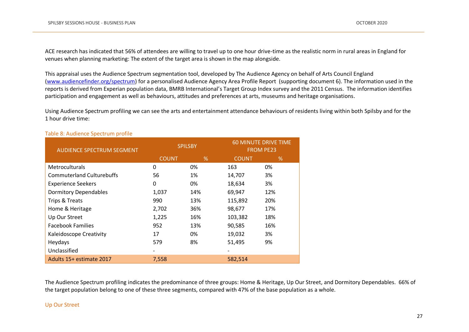ACE research has indicated that 56% of attendees are willing to travel up to one hour drive-time as the realistic norm in rural areas in England for venues when planning marketing: The extent of the target area is shown in the map alongside.

This appraisal uses the Audience Spectrum segmentation tool, developed by The Audience Agency on behalf of Arts Council England [\(www.audiencefinder.org/spectrum\)](http://www.audiencefinder.org/spectrum) for a personalised Audience Agency Area Profile Report (supporting document 6). The information used in the reports is derived from Experian population data, BMRB International's Target Group Index survey and the 2011 Census. The information identifies participation and engagement as well as behaviours, attitudes and preferences at arts, museums and heritage organisations.

Using Audience Spectrum profiling we can see the arts and entertainment attendance behaviours of residents living within both Spilsby and for the 1 hour drive time:

| <b>AUDIENCE SPECTRUM SEGMENT</b> |              | <b>SPILSBY</b> | <b>60 MINUTE DRIVE TIME</b><br><b>FROM PE23</b> |      |  |
|----------------------------------|--------------|----------------|-------------------------------------------------|------|--|
|                                  | <b>COUNT</b> | %              | <b>COUNT</b>                                    | $\%$ |  |
| <b>Metroculturals</b>            | 0            | 0%             | 163                                             | 0%   |  |
| <b>Commuterland Culturebuffs</b> | 56           | 1%             | 14,707                                          | 3%   |  |
| <b>Experience Seekers</b>        | 0            | 0%             | 18,634                                          | 3%   |  |
| <b>Dormitory Dependables</b>     | 1,037        | 14%            | 69,947                                          | 12%  |  |
| Trips & Treats                   | 990          | 13%            | 115,892                                         | 20%  |  |
| Home & Heritage                  | 2,702        | 36%            | 98,677                                          | 17%  |  |
| Up Our Street                    | 1,225        | 16%            | 103,382                                         | 18%  |  |
| <b>Facebook Families</b>         | 952          | 13%            | 90,585                                          | 16%  |  |
| Kaleidoscope Creativity          | 17           | 0%             | 19,032                                          | 3%   |  |
| Heydays                          | 579          | 8%             | 51,495                                          | 9%   |  |
| Unclassified                     |              |                |                                                 |      |  |
| Adults 15+ estimate 2017         | 7,558        |                | 582,514                                         |      |  |

#### Table 8: Audience Spectrum profile

The Audience Spectrum profiling indicates the predominance of three groups: Home & Heritage, Up Our Street, and Dormitory Dependables. 66% of the target population belong to one of these three segments, compared with 47% of the base population as a whole.

#### Up Our Street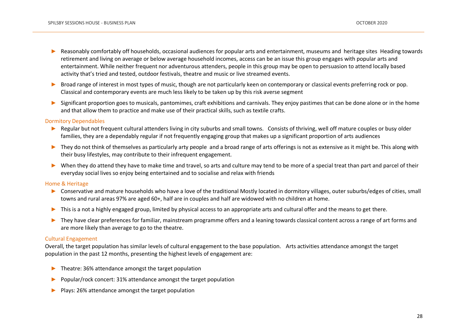- Reasonably comfortably off households, occasional audiences for popular arts and entertainment, museums and heritage sites Heading towards retirement and living on average or below average household incomes, access can be an issue this group engages with popular arts and entertainment. While neither frequent nor adventurous attenders, people in this group may be open to persuasion to attend locally based activity that's tried and tested, outdoor festivals, theatre and music or live streamed events.
- ► Broad range of interest in most types of music, though are not particularly keen on contemporary or classical events preferring rock or pop. Classical and contemporary events are much less likely to be taken up by this risk averse segment
- Significant proportion goes to musicals, pantomimes, craft exhibitions and carnivals. They enjoy pastimes that can be done alone or in the home and that allow them to practice and make use of their practical skills, such as textile crafts.

#### Dormitory Dependables

- ► Regular but not frequent cultural attenders living in city suburbs and small towns. Consists of thriving, well off mature couples or busy older families, they are a dependably regular if not frequently engaging group that makes up a significant proportion of arts audiences
- ► They do not think of themselves as particularly arty people and a broad range of arts offerings is not as extensive as it might be. This along with their busy lifestyles, may contribute to their infrequent engagement.
- ► When they do attend they have to make time and travel, so arts and culture may tend to be more of a special treat than part and parcel of their everyday social lives so enjoy being entertained and to socialise and relax with friends

#### Home & Heritage

- ► Conservative and mature households who have a love of the traditional Mostly located in dormitory villages, outer suburbs/edges of cities, small towns and rural areas 97% are aged 60+, half are in couples and half are widowed with no children at home.
- ► This is a not a highly engaged group, limited by physical access to an appropriate arts and cultural offer and the means to get there.
- ► They have clear preferences for familiar, mainstream programme offers and a leaning towards classical content across a range of art forms and are more likely than average to go to the theatre.

#### Cultural Engagement

Overall, the target population has similar levels of cultural engagement to the base population. Arts activities attendance amongst the target population in the past 12 months, presenting the highest levels of engagement are:

- ► Theatre: 36% attendance amongst the target population
- Popular/rock concert: 31% attendance amongst the target population
- ► Plays: 26% attendance amongst the target population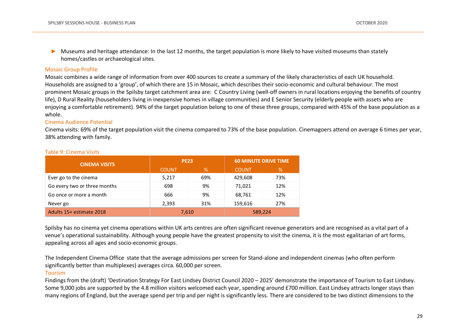► Museums and heritage attendance: In the last 12 months, the target population is more likely to have visited museums than stately homes/castles or archaeological sites.

#### Mosaic Group Profile

Mosaic combines a wide range of information from over 400 sources to create a summary of the likely characteristics of each UK household. Households are assigned to a 'group', of which there are 15 in Mosaic, which describes their socio-economic and cultural behaviour. The most prominent Mosaic groups in the Spilsby target catchment area are: C Country Living (well-off owners in rural locations enjoying the benefits of country life), D Rural Reality (householders living in inexpensive homes in village communities) and E Senior Security (elderly people with assets who are enjoying a comfortable retirement). 94% of the target population belong to one of these three groups, compared with 45% of the base population as a whole.

#### Cinema Audience Potential

Cinema visits: 69% of the target population visit the cinema compared to 73% of the base population. Cinemagoers attend on average 6 times per year, 38% attending with family.

| <b>CINEMA VISITS</b>         | <b>PE23</b>  |       | <b>60 MINUTE DRIVE TIME</b> |     |  |
|------------------------------|--------------|-------|-----------------------------|-----|--|
|                              | <b>COUNT</b> | %     | <b>COUNT</b>                | %   |  |
| Ever go to the cinema        | 5,217        | 69%   | 429.608                     | 73% |  |
| Go every two or three months | 698          | 9%    | 71.021                      | 12% |  |
| Go once or more a month      | 666          | 9%    | 68,761                      | 12% |  |
| Never go                     | 2.393<br>31% |       | 159,616                     | 27% |  |
| Adults 15+ estimate 2018     |              | 7,610 | 589,224                     |     |  |

#### Table 9: Cinema Visits

Spilsby has no cinema yet cinema operations within UK arts centres are often significant revenue generators and are recognised as a vital part of a venue's operational sustainability. Although young people have the greatest propensity to visit the cinema, it is the most egalitarian of art forms, appealing across all ages and socio-economic groups.

The Independent Cinema Office state that the average admissions per screen for Stand-alone and independent cinemas (who often perform significantly better than multiplexes) averages circa. 60,000 per screen.

#### Tourism

Findings from the (draft) 'Destination Strategy For East Lindsey District Council 2020 – 2025' demonstrate the importance of Tourism to East Lindsey. Some 9,000 jobs are supported by the 4.8 million visitors welcomed each year, spending around £700 million. East Lindsey attracts longer stays than many regions of England, but the average spend per trip and per night is significantly less. There are considered to be two distinct dimensions to the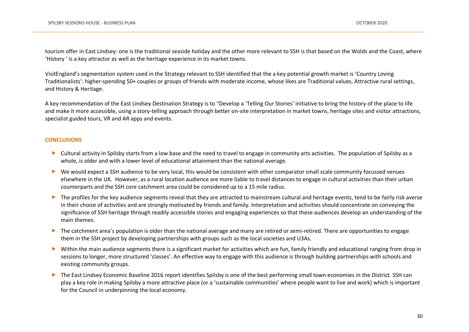tourism offer in East Lindsey: one is the traditional seaside holiday and the other more relevant to SSH is that based on the Wolds and the Coast, where 'History ' is a key attractor as well as the heritage experience in its market towns.

VisitEngland's segmentation system used in the Strategy relevant to SSH identified that the a key potential growth market is 'Country Loving Traditionalists': higher-spending 50+ couples or groups of friends with moderate income, whose likes are Traditional values, Attractive rural settings, and History & Heritage.

A key recommendation of the East Lindsey Destination Strategy is to "Develop a 'Telling Our Stories' initiative to bring the history of the place to life and make it more accessible, using a story-telling approach through better on-site interpretation in market towns, heritage sites and visitor attractions, specialist guided tours, VR and AR apps and events.

#### **CONCLUSIONS**

- Cultural activity in Spilsby starts from a low base and the need to travel to engage in community arts activities. The population of Spilsby as a whole, is older and with a lower level of educational attainment than the national average.
- We would expect a SSH audience to be very local, this would be consistent with other comparator small scale community focussed venues elsewhere in the UK. However, as a rural location audience are more liable to travel distances to engage in cultural activities than their urban counterparts and the SSH core catchment area could be considered up to a 15 mile radius.
- The profiles for the key audience segments reveal that they are attracted to mainstream cultural and heritage events, tend to be fairly risk averse in their choice of activities and are strongly motivated by friends and family. Interpretation and activities should concentrate on conveying the significance of SSH heritage through readily accessible stories and engaging experiences so that these audiences develop an understanding of the main themes.
- The catchment area's population is older than the national average and many are retired or semi-retired. There are opportunities to engage them in the SSH project by developing partnerships with groups such as the local societies and U3As.
- Within the main audience segments there is a significant market for activities which are fun, family friendly and educational ranging from drop in sessions to longer, more structured 'classes'. An effective way to engage with this audience is through building partnerships with schools and existing community groups.
- ▶ The East Lindsey Economic Baseline 2016 report identifies Spilsby is one of the best performing small town economies in the District. SSH can play a key role in making Spilsby a more attractive place (or a 'sustainable communities' where people want to live and work) which is important for the Council in underpinning the local economy.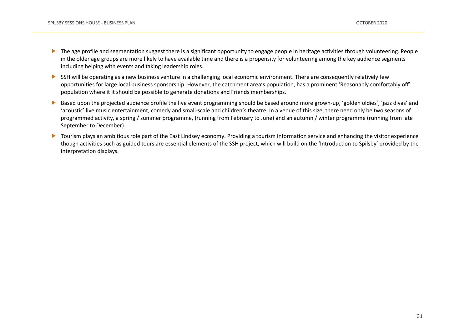- The age profile and segmentation suggest there is a significant opportunity to engage people in heritage activities through volunteering. People in the older age groups are more likely to have available time and there is a propensity for volunteering among the key audience segments including helping with events and taking leadership roles.
- SSH will be operating as a new business venture in a challenging local economic environment. There are consequently relatively few opportunities for large local business sponsorship. However, the catchment area's population, has a prominent 'Reasonably comfortably off' population where it it should be possible to generate donations and Friends memberships.
- Based upon the projected audience profile the live event programming should be based around more grown-up, 'golden oldies', 'jazz divas' and 'acoustic' live music entertainment, comedy and small-scale and children's theatre. In a venue of this size, there need only be two seasons of programmed activity, a spring / summer programme, (running from February to June) and an autumn / winter programme (running from late September to December).
- ▶ Tourism plays an ambitious role part of the East Lindsey economy. Providing a tourism information service and enhancing the visitor experience though activities such as guided tours are essential elements of the SSH project, which will build on the 'Introduction to Spilsby' provided by the interpretation displays.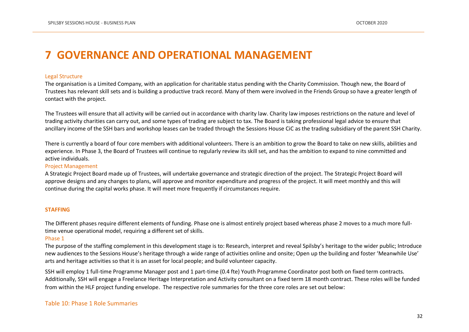# <span id="page-31-0"></span>**7 GOVERNANCE AND OPERATIONAL MANAGEMENT**

#### Legal Structure

The organisation is a Limited Company, with an application for charitable status pending with the Charity Commission. Though new, the Board of Trustees has relevant skill sets and is building a productive track record. Many of them were involved in the Friends Group so have a greater length of contact with the project.

The Trustees will ensure that all activity will be carried out in accordance with charity law. Charity law imposes restrictions on the nature and level of trading activity charities can carry out, and some types of trading are subject to tax. The Board is taking professional legal advice to ensure that ancillary income of the SSH bars and workshop leases can be traded through the Sessions House CiC as the trading subsidiary of the parent SSH Charity.

There is currently a board of four core members with additional volunteers. There is an ambition to grow the Board to take on new skills, abilities and experience. In Phase 3, the Board of Trustees will continue to regularly review its skill set, and has the ambition to expand to nine committed and active individuals.

#### Project Management

A Strategic Project Board made up of Trustees, will undertake governance and strategic direction of the project. The Strategic Project Board will approve designs and any changes to plans, will approve and monitor expenditure and progress of the project. It will meet monthly and this will continue during the capital works phase. It will meet more frequently if circumstances require.

#### **STAFFING**

The Different phases require different elements of funding. Phase one is almost entirely project based whereas phase 2 moves to a much more fulltime venue operational model, requiring a different set of skills.

#### Phase 1

The purpose of the staffing complement in this development stage is to: Research, interpret and reveal Spilsby's heritage to the wider public; Introduce new audiences to the Sessions House's heritage through a wide range of activities online and onsite; Open up the building and foster 'Meanwhile Use' arts and heritage activities so that it is an asset for local people; and build volunteer capacity.

SSH will employ 1 full-time Programme Manager post and 1 part-time (0.4 fte) Youth Programme Coordinator post both on fixed term contracts. Additionally, SSH will engage a Freelance Heritage Interpretation and Activity consultant on a fixed term 18 month contract. These roles will be funded from within the HLF project funding envelope. The respective role summaries for the three core roles are set out below:

#### Table 10: Phase 1 Role Summaries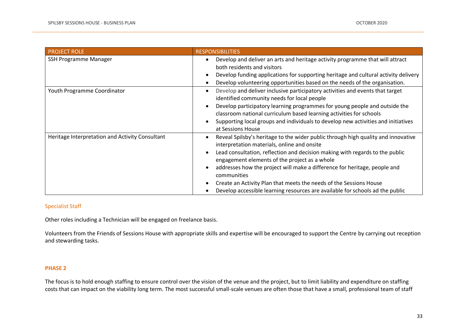| <b>PROJECT ROLE</b>                             | <b>RESPONSIBILITIES</b>                                                                                                                                                                                                                                                                                                                                                                                                                                                                                              |
|-------------------------------------------------|----------------------------------------------------------------------------------------------------------------------------------------------------------------------------------------------------------------------------------------------------------------------------------------------------------------------------------------------------------------------------------------------------------------------------------------------------------------------------------------------------------------------|
| SSH Programme Manager                           | Develop and deliver an arts and heritage activity programme that will attract<br>both residents and visitors<br>Develop funding applications for supporting heritage and cultural activity delivery<br>Develop volunteering opportunities based on the needs of the organisation.                                                                                                                                                                                                                                    |
| Youth Programme Coordinator                     | Develop and deliver inclusive participatory activities and events that target<br>identified community needs for local people<br>Develop participatory learning programmes for young people and outside the<br>classroom national curriculum based learning activities for schools<br>Supporting local groups and individuals to develop new activities and initiatives<br>at Sessions House                                                                                                                          |
| Heritage Interpretation and Activity Consultant | Reveal Spilsby's heritage to the wider public through high quality and innovative<br>interpretation materials, online and onsite<br>Lead consultation, reflection and decision making with regards to the public<br>engagement elements of the project as a whole<br>addresses how the project will make a difference for heritage, people and<br>communities<br>Create an Activity Plan that meets the needs of the Sessions House<br>Develop accessible learning resources are available for schools ad the public |

#### Specialist Staff

Other roles including a Technician will be engaged on freelance basis.

Volunteers from the Friends of Sessions House with appropriate skills and expertise will be encouraged to support the Centre by carrying out reception and stewarding tasks.

#### **PHASE 2**

The focus is to hold enough staffing to ensure control over the vision of the venue and the project, but to limit liability and expenditure on staffing costs that can impact on the viability long term. The most successful small-scale venues are often those that have a small, professional team of staff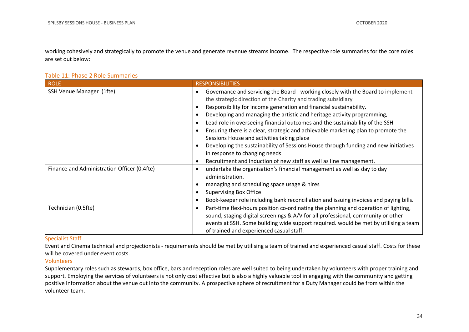working cohesively and strategically to promote the venue and generate revenue streams income. The respective role summaries for the core roles are set out below:

#### Table 11: Phase 2 Role Summaries

| <b>ROLE</b>                                 | <b>RESPONSIBILITIES</b>                                                                                                                                                                                                                                                                                                                                                                                                                                                                                                                                                                                                                                                                                             |
|---------------------------------------------|---------------------------------------------------------------------------------------------------------------------------------------------------------------------------------------------------------------------------------------------------------------------------------------------------------------------------------------------------------------------------------------------------------------------------------------------------------------------------------------------------------------------------------------------------------------------------------------------------------------------------------------------------------------------------------------------------------------------|
| SSH Venue Manager (1fte)                    | Governance and servicing the Board - working closely with the Board to implement<br>the strategic direction of the Charity and trading subsidiary<br>Responsibility for income generation and financial sustainability.<br>Developing and managing the artistic and heritage activity programming,<br>Lead role in overseeing financial outcomes and the sustainability of the SSH<br>Ensuring there is a clear, strategic and achievable marketing plan to promote the<br>Sessions House and activities taking place<br>Developing the sustainability of Sessions House through funding and new initiatives<br>in response to changing needs<br>Recruitment and induction of new staff as well as line management. |
| Finance and Administration Officer (0.4fte) | undertake the organisation's financial management as well as day to day<br>administration.<br>managing and scheduling space usage & hires<br><b>Supervising Box Office</b><br>Book-keeper role including bank reconciliation and issuing invoices and paying bills.                                                                                                                                                                                                                                                                                                                                                                                                                                                 |
| Technician (0.5fte)                         | Part-time flexi-hours position co-ordinating the planning and operation of lighting,<br>$\bullet$<br>sound, staging digital screenings & A/V for all professional, community or other<br>events at SSH. Some building wide support required. would be met by utilising a team<br>of trained and experienced casual staff.                                                                                                                                                                                                                                                                                                                                                                                           |

#### Specialist Staff

Event and Cinema technical and projectionists - requirements should be met by utilising a team of trained and experienced casual staff. Costs for these will be covered under event costs.

#### Volunteers

Supplementary roles such as stewards, box office, bars and reception roles are well suited to being undertaken by volunteers with proper training and support. Employing the services of volunteers is not only cost effective but is also a highly valuable tool in engaging with the community and getting positive information about the venue out into the community. A prospective sphere of recruitment for a Duty Manager could be from within the volunteer team.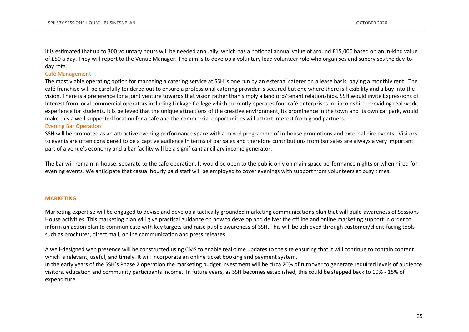It is estimated that up to 300 voluntary hours will be needed annually, which has a notional annual value of around £15,000 based on an in-kind value of £50 a day. They will report to the Venue Manager. The aim is to develop a voluntary lead volunteer role who organises and supervises the day-today rota.

#### Café Management

The most viable operating option for managing a catering service at SSH is one run by an external caterer on a lease basis, paying a monthly rent. The café franchise will be carefully tendered out to ensure a professional catering provider is secured but one where there is flexibility and a buy into the vision. There is a preference for a joint venture towards that vision rather than simply a landlord/tenant relationships. SSH would invite Expressions of Interest from local commercial operators including Linkage College which currently operates four café enterprises in Lincolnshire, providing real work experience for students. It is believed that the unique attractions of the creative environment, its prominence in the town and its own car park, would make this a well-supported location for a cafe and the commercial opportunities will attract interest from good partners.

#### Evening Bar Operation

SSH will be promoted as an attractive evening performance space with a mixed programme of in-house promotions and external hire events. Visitors to events are often considered to be a captive audience in terms of bar sales and therefore contributions from bar sales are always a very important part of a venue's economy and a bar facility will be a significant ancillary income generator.

The bar will remain in-house, separate to the cafe operation. It would be open to the public only on main space performance nights or when hired for evening events. We anticipate that casual hourly paid staff will be employed to cover evenings with support from volunteers at busy times.

#### **MARKETING**

Marketing expertise will be engaged to devise and develop a tactically grounded marketing communications plan that will build awareness of Sessions House activities. This marketing plan will give practical guidance on how to develop and deliver the offline and online marketing support in order to inform an action plan to communicate with key targets and raise public awareness of SSH. This will be achieved through customer/client-facing tools such as brochures, direct mail, online communication and press releases.

A well-designed web presence will be constructed using CMS to enable real-time updates to the site ensuring that it will continue to contain content which is relevant, useful, and timely. It will incorporate an online ticket booking and payment system. In the early years of the SSH's Phase 2 operation the marketing budget investment will be circa 20% of turnover to generate required levels of audience visitors, education and community participants income. In future years, as SSH becomes established, this could be stepped back to 10% - 15% of expenditure.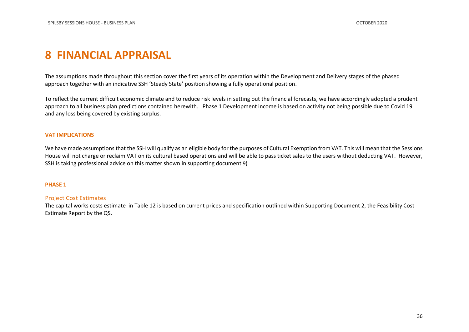# <span id="page-35-0"></span>**8 FINANCIAL APPRAISAL**

The assumptions made throughout this section cover the first years of its operation within the Development and Delivery stages of the phased approach together with an indicative SSH 'Steady State' position showing a fully operational position.

To reflect the current difficult economic climate and to reduce risk levels in setting out the financial forecasts, we have accordingly adopted a prudent approach to all business plan predictions contained herewith. Phase 1 Development income is based on activity not being possible due to Covid 19 and any loss being covered by existing surplus.

#### **VAT IMPLICATIONS**

We have made assumptions that the SSH will qualify as an eligible body for the purposes of Cultural Exemption from VAT. This will mean that the Sessions House will not charge or reclaim VAT on its cultural based operations and will be able to pass ticket sales to the users without deducting VAT. However, SSH is taking professional advice on this matter shown in supporting document 9)

#### **PHASE 1**

#### Project Cost Estimates

The capital works costs estimate in Table 12 is based on current prices and specification outlined within Supporting Document 2, the Feasibility Cost Estimate Report by the QS.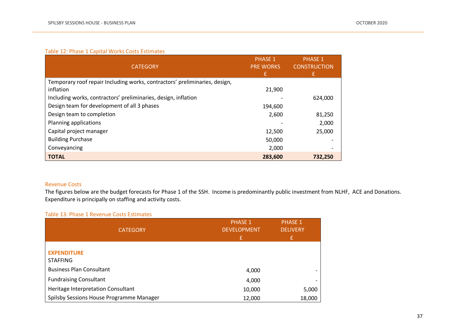### Table 12: Phase 1 Capital Works Costs Estimates

| <b>CATEGORY</b>                                                            | <b>PHASE 1</b><br><b>PRE WORKS</b><br>£ | <b>PHASE 1</b><br><b>CONSTRUCTION</b><br>£ |
|----------------------------------------------------------------------------|-----------------------------------------|--------------------------------------------|
| Temporary roof repair Including works, contractors' preliminaries, design, |                                         |                                            |
| inflation                                                                  | 21,900                                  |                                            |
| Including works, contractors' preliminaries, design, inflation             |                                         | 624,000                                    |
| Design team for development of all 3 phases                                | 194,600                                 |                                            |
| Design team to completion                                                  | 2,600                                   | 81,250                                     |
| Planning applications                                                      |                                         | 2,000                                      |
| Capital project manager                                                    | 12,500                                  | 25,000                                     |
| <b>Building Purchase</b>                                                   | 50,000                                  |                                            |
| Conveyancing                                                               | 2,000                                   |                                            |
| <b>TOTAL</b>                                                               | 283,600                                 | 732.250                                    |

### Revenue Costs

The figures below are the budget forecasts for Phase 1 of the SSH. Income is predominantly public investment from NLHF, ACE and Donations. Expenditure is principally on staffing and activity costs.

#### Table 13: Phase 1 Revenue Costs Estimates

| <b>CATEGORY</b>                          | <b>PHASE 1</b><br><b>DEVELOPMENT</b> | <b>PHASE 1</b><br><b>DELIVERY</b> |
|------------------------------------------|--------------------------------------|-----------------------------------|
|                                          | £                                    | £                                 |
| <b>EXPENDITURE</b><br><b>STAFFING</b>    |                                      |                                   |
| <b>Business Plan Consultant</b>          | 4,000                                |                                   |
| <b>Fundraising Consultant</b>            | 4,000                                |                                   |
| Heritage Interpretation Consultant       | 10,000                               | 5,000                             |
| Spilsby Sessions House Programme Manager | 12,000                               | 18,000                            |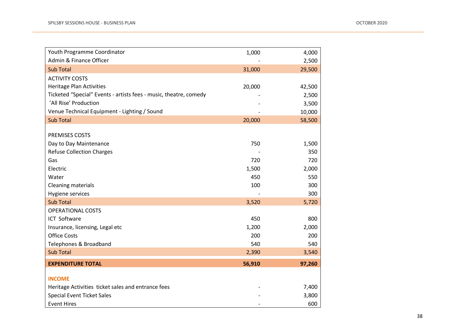| Youth Programme Coordinator                                       | 1,000  | 4,000  |
|-------------------------------------------------------------------|--------|--------|
| Admin & Finance Officer                                           |        | 2,500  |
| <b>Sub Total</b>                                                  | 31,000 | 29,500 |
| <b>ACTIVITY COSTS</b>                                             |        |        |
| <b>Heritage Plan Activities</b>                                   | 20,000 | 42,500 |
| Ticketed "Special" Events - artists fees - music, theatre, comedy |        | 2,500  |
| 'All Rise' Production                                             |        | 3,500  |
| Venue Technical Equipment - Lighting / Sound                      |        | 10,000 |
| <b>Sub Total</b>                                                  | 20,000 | 58,500 |
|                                                                   |        |        |
| PREMISES COSTS                                                    |        |        |
| Day to Day Maintenance                                            | 750    | 1,500  |
| <b>Refuse Collection Charges</b>                                  |        | 350    |
| Gas                                                               | 720    | 720    |
| Electric                                                          | 1,500  | 2,000  |
| Water                                                             | 450    | 550    |
| <b>Cleaning materials</b>                                         | 100    | 300    |
| Hygiene services                                                  |        | 300    |
| <b>Sub Total</b>                                                  | 3,520  | 5,720  |
| <b>OPERATIONAL COSTS</b>                                          |        |        |
| ICT Software                                                      | 450    | 800    |
| Insurance, licensing, Legal etc                                   | 1,200  | 2,000  |
| <b>Office Costs</b>                                               | 200    | 200    |
| Telephones & Broadband                                            | 540    | 540    |
| <b>Sub Total</b>                                                  | 2,390  | 3,540  |
| <b>EXPENDITURE TOTAL</b>                                          | 56,910 | 97,260 |
| <b>INCOME</b>                                                     |        |        |
| Heritage Activities ticket sales and entrance fees                |        | 7,400  |
| <b>Special Event Ticket Sales</b>                                 |        | 3,800  |
| <b>Event Hires</b>                                                |        | 600    |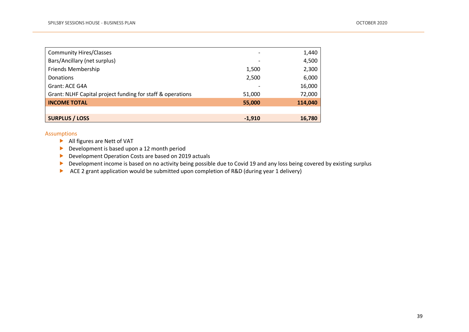| <b>Community Hires/Classes</b>                             |          | 1,440   |
|------------------------------------------------------------|----------|---------|
| Bars/Ancillary (net surplus)                               |          | 4,500   |
| <b>Friends Membership</b>                                  | 1,500    | 2,300   |
| <b>Donations</b>                                           | 2,500    | 6,000   |
| Grant: ACE G4A                                             |          | 16,000  |
| Grant: NLHF Capital project funding for staff & operations | 51,000   | 72,000  |
| <b>INCOME TOTAL</b>                                        | 55,000   | 114,040 |
|                                                            |          |         |
| <b>SURPLUS / LOSS</b>                                      | $-1,910$ | 16,780  |

#### Assumptions

- All figures are Nett of VAT
- Development is based upon a 12 month period
- Development Operation Costs are based on 2019 actuals
- Development income is based on no activity being possible due to Covid 19 and any loss being covered by existing surplus
- ACE 2 grant application would be submitted upon completion of R&D (during year 1 delivery)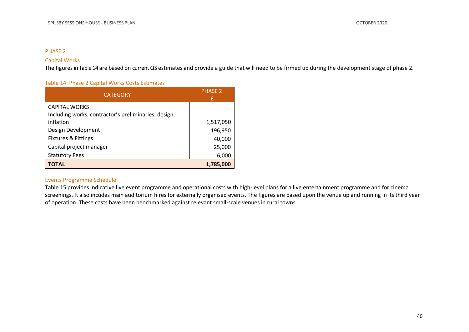#### PHASE 2

#### Capital Works

The figures in Table 14 are based on current QS estimates and provide a guide that will need to be firmed up during the development stage of phase 2.

#### Table 14: Phase 2 Capital Works Costs Estimates

| <b>CATEGORY</b>                                      | <b>PHASE 2</b><br>£ |
|------------------------------------------------------|---------------------|
| <b>CAPITAL WORKS</b>                                 |                     |
| Including works, contractor's preliminaries, design, |                     |
| inflation                                            | 1,517,050           |
| Design Development                                   | 196,950             |
| <b>Fixtures &amp; Fittings</b>                       | 40,000              |
| Capital project manager                              | 25,000              |
| <b>Statutory Fees</b>                                | 6,000               |
| ΤΟΤΑL                                                | 1,785,000           |

#### Events Programme Schedule

Table 15 provides indicative live event programme and operational costs with high-level plans for a live entertainment programme and for cinema screenings. It also incudes main auditorium hires for externally organised events. The figures are based upon the venue up and running in its third year of operation. These costs have been benchmarked against relevant small-scale venues in rural towns.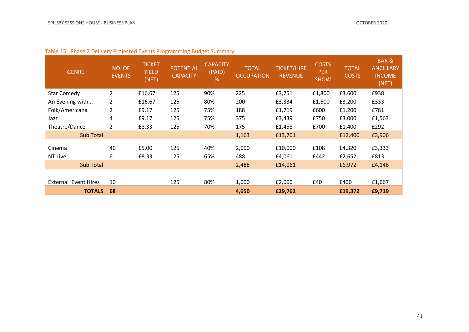| <b>GENRE</b>                | NO. OF<br><b>EVENTS</b> | <b>TICKET</b><br><b>YIELD</b><br>(NET) | <b>POTENTIAL</b><br><b>CAPACITY</b> | <b>CAPACITY</b><br>(PAID)<br>% | <b>TOTAL</b><br><b>OCCUPATION</b> | <b>TICKET/HIRE</b><br><b>REVENUE</b> | <b>COSTS</b><br><b>PER</b><br><b>SHOW</b> | <b>TOTAL</b><br><b>COSTS</b> | <b>BAR&amp;</b><br><b>ANCILLARY</b><br><b>INCOME</b><br>(NET) |
|-----------------------------|-------------------------|----------------------------------------|-------------------------------------|--------------------------------|-----------------------------------|--------------------------------------|-------------------------------------------|------------------------------|---------------------------------------------------------------|
| <b>Star Comedy</b>          | $\overline{2}$          | £16.67                                 | 125                                 | 90%                            | 225                               | £3,751                               | £1,800                                    | £3,600                       | £938                                                          |
| An Evening with             | $\overline{2}$          | £16.67                                 | 125                                 | 80%                            | 200                               | £3,334                               | £1,600                                    | £3,200                       | £333                                                          |
| Folk/Americana              | 2                       | £9.17                                  | 125                                 | 75%                            | 188                               | £1,719                               | £600                                      | £1,200                       | £781                                                          |
| Jazz                        | 4                       | £9.17                                  | 125                                 | 75%                            | 375                               | £3,439                               | £750                                      | £3,000                       | £1,563                                                        |
| Theatre/Dance               | $\overline{2}$          | £8.33                                  | 125                                 | 70%                            | 175                               | £1,458                               | £700                                      | £1,400                       | £292                                                          |
| <b>Sub Total</b>            |                         |                                        |                                     |                                | 1,163                             | £13,701                              |                                           | £12,400                      | £3,906                                                        |
| Cinema<br>NT Live           | 40<br>6                 | £5.00<br>£8.33                         | 125<br>125                          | 40%<br>65%                     | 2,000<br>488                      | £10,000<br>£4,061                    | £108<br>£442                              | £4,320<br>£2,652             | £3,333<br>£813                                                |
| <b>Sub Total</b>            |                         |                                        |                                     |                                | 2,488                             | £14,061                              |                                           | £6,972                       | £4,146                                                        |
|                             |                         |                                        |                                     |                                |                                   |                                      |                                           |                              |                                                               |
| <b>External Event Hires</b> | 10                      |                                        | 125                                 | 80%                            | 1,000                             | £2,000                               | £40                                       | £400                         | £1,667                                                        |
| <b>TOTALS</b>               | 68                      |                                        |                                     |                                | 4,650                             | £29,762                              |                                           | £19,372                      | £9,719                                                        |

### Table 15: Phase 2 Delivery Projected Events Programming Budget Summary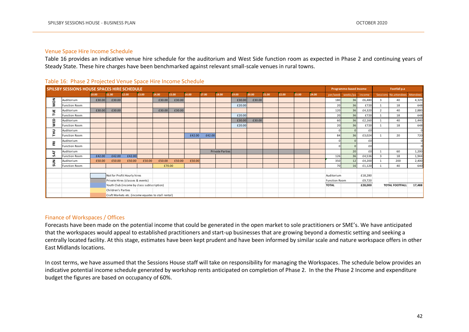#### Venue Space Hire Income Schedule

Table 16 provides an indicative venue hire schedule for the auditorium and West Side function room as expected in Phase 2 and continuing years of Steady State. These hire charges have been benchmarked against relevant small-scale venues in rural towns.

|          | Steady State. These hire charges have been benchmarked against relevant small-scale venues in rural towns. |        |                             |                                  |                                            |                                                     |        |        |        |                        |        |                        |       |              |       |       |                      |          |         |                |                       |           |
|----------|------------------------------------------------------------------------------------------------------------|--------|-----------------------------|----------------------------------|--------------------------------------------|-----------------------------------------------------|--------|--------|--------|------------------------|--------|------------------------|-------|--------------|-------|-------|----------------------|----------|---------|----------------|-----------------------|-----------|
|          | Table 16: Phase 2 Projected Venue Space Hire Income Schedule                                               |        |                             |                                  |                                            |                                                     |        |        |        |                        |        |                        |       |              |       |       |                      |          |         |                |                       |           |
|          | <b>SPILSBY SESSIONS HOUSE SPACES HIRE SCHEDULE</b>                                                         |        |                             |                                  |                                            |                                                     |        |        |        |                        |        | Programme-based Income |       | Footfall p.a |       |       |                      |          |         |                |                       |           |
|          |                                                                                                            | 10.00  | 11.00                       | 12.00                            | 13.00                                      | 14.00                                               | 15.00  | 16.00  | 17.00  | 18.00                  | 19.00  | 20.00                  | 21.00 | 22.00        | 23.00 | 24.00 | per/weel             | weeks/pa | income  | Sessions I     | No.attendee           | Attendees |
| š        | Auditorium                                                                                                 | £30.00 | £30.00                      |                                  |                                            | £30.00                                              | £30.00 |        |        |                        | £30.00 | £30.00                 |       |              |       |       | 180                  | 36       | £6,480  | 3              | 40                    | 4,320     |
| ż        | <b>Function Room</b>                                                                                       |        |                             |                                  |                                            |                                                     |        |        |        |                        | £20.00 |                        |       |              |       |       | 20                   | 36       | £720    |                | 18                    | 648       |
| Ĕ        | Auditorium                                                                                                 | £30.00 | £30.00                      |                                  |                                            | £30.00                                              | £30.00 |        |        |                        |        |                        |       |              |       |       | 120                  | 36       | £4,320  | $\overline{2}$ | 40                    | 2,880     |
|          | <b>Function Room</b>                                                                                       |        |                             |                                  |                                            |                                                     |        |        |        |                        | £20.00 |                        |       |              |       |       | 20                   | 36       | £720    |                | 18                    | 648       |
| <b>S</b> | Auditorium                                                                                                 |        |                             |                                  |                                            |                                                     |        |        |        |                        | £30.00 | £30.00                 |       |              |       |       | 60                   | 36       | £2,160  | $\mathbf{1}$   | 40                    | 1,440     |
|          | <b>Function Room</b>                                                                                       |        |                             |                                  |                                            |                                                     |        |        |        |                        | £20.00 |                        |       |              |       |       | 20                   | 36       | £720    |                | 18                    | 648       |
| 롣        | Auditorium                                                                                                 |        |                             |                                  |                                            |                                                     |        |        |        |                        |        |                        |       |              |       |       |                      |          | £0      |                |                       |           |
|          | <b>Function Room</b>                                                                                       |        |                             |                                  |                                            |                                                     |        | £42.00 | £42.00 |                        |        |                        |       |              |       |       | 84                   | 36       | £3,024  |                | 20                    | 720       |
| 훈        | Auditorium                                                                                                 |        |                             |                                  |                                            |                                                     |        |        |        |                        |        |                        |       |              |       |       |                      |          | £0      |                |                       |           |
|          | <b>Function Room</b>                                                                                       |        |                             |                                  |                                            |                                                     |        |        |        |                        |        |                        |       |              |       |       |                      |          | £0      |                |                       |           |
| 54       | Auditorium                                                                                                 |        |                             |                                  |                                            |                                                     |        |        |        | <b>Private Parties</b> |        |                        |       |              |       |       |                      | 20       | £0      | $\overline{1}$ | 60                    | 1,200     |
|          | <b>Function Room</b>                                                                                       | £42.00 | £42.00                      | £42.00                           |                                            |                                                     |        |        |        |                        |        |                        |       |              |       |       | 126                  | 36       | £4,536  | $\mathbf{R}$   | 18                    | 1,944     |
| ξ        | Auditorium                                                                                                 | £50.00 | £50.00                      | £50.00                           | £50.00                                     | £50.00                                              | £50.00 | £50.00 |        |                        |        |                        |       |              |       |       | 350                  | 12       | £4,200  |                | 200                   | 2,400     |
|          | <b>Function Room</b>                                                                                       |        |                             |                                  |                                            |                                                     | £70.00 |        |        |                        |        |                        |       |              |       |       | 70                   | 16       | £1,120  | $\mathbf{1}$   | 40                    | 640       |
|          |                                                                                                            |        | Not for Profit Hourly hires |                                  |                                            |                                                     |        |        |        |                        |        |                        |       |              |       |       | Auditorium           |          | £18,280 |                |                       |           |
|          |                                                                                                            |        |                             | Private Hires (classes & events) |                                            |                                                     |        |        |        |                        |        |                        |       |              |       |       | <b>Function Room</b> |          | £9,720  |                |                       |           |
|          |                                                                                                            |        |                             |                                  | Youth Club (income by class sublscription) |                                                     |        |        |        |                        |        |                        |       |              |       |       | <b>TOTAL</b>         |          | £28,000 |                | <b>TOTAL FOOTFALL</b> | 17,488    |
|          |                                                                                                            |        | Children's Parties          |                                  |                                            |                                                     |        |        |        |                        |        |                        |       |              |       |       |                      |          |         |                |                       |           |
|          |                                                                                                            |        |                             |                                  |                                            | Craft Markets etc. (income equates to stall rental) |        |        |        |                        |        |                        |       |              |       |       |                      |          |         |                |                       |           |

#### Table 16: Phase 2 Projected Venue Space Hire Income Schedule

#### Finance of Workspaces / Offices

Forecasts have been made on the potential income that could be generated in the open market to sole practitioners or SME's. We have anticipated that the workspaces would appeal to established practitioners and start-up businesses that are growing beyond a domestic setting and seeking a centrally located facility. At this stage, estimates have been kept prudent and have been informed by similar scale and nature workspace offers in other East Midlands locations.

In cost terms, we have assumed that the Sessions House staff will take on responsibility for managing the Workspaces. The schedule below provides an indicative potential income schedule generated by workshop rents anticipated on completion of Phase 2. In the the Phase 2 Income and expenditure budget the figures are based on occupancy of 60%.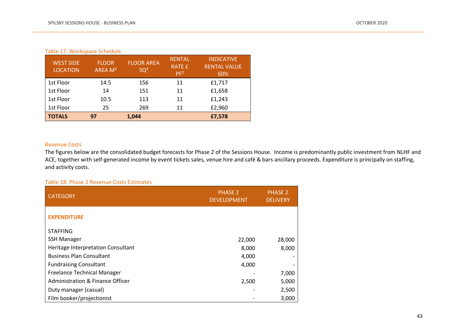| <b>WEST SIDE</b><br><b>LOCATION</b> | <b>FLOOR</b><br>AREA M <sup>2</sup> | <b>FLOOR AREA</b><br>SQ <sup>2</sup> | <b>RENTAL</b><br><b>RATE £</b><br>PF <sup>2</sup> | <b>INDICATIVE</b><br><b>RENTAL VALUE</b><br>60% |
|-------------------------------------|-------------------------------------|--------------------------------------|---------------------------------------------------|-------------------------------------------------|
| 1st Floor                           | 14.5                                | 156                                  | 11                                                | £1,717                                          |
| 1st Floor                           | 14                                  | 151                                  | 11                                                | £1,658                                          |
| 1st Floor                           | 10.5                                | 113                                  | 11                                                | £1,243                                          |
| 1st Floor                           | 25                                  | 269                                  | 11                                                | £2,960                                          |
| <b>TOTALS</b>                       | 97                                  | 1,044                                |                                                   | £7,578                                          |

#### Revenue Costs

The figures below are the consolidated budget forecasts for Phase 2 of the Sessions House. Income is predominantly public investment from NLHF and ACE, together with self-generated income by event tickets sales, venue hire and café & bars ancillary proceeds. Expenditure is principally on staffing, and activity costs.

#### Table 18: Phase 2 Revenue Costs Estimates

| <b>CATEGORY</b>                    | <b>PHASE 2</b><br><b>DEVELOPMENT</b> | <b>PHASE 2</b><br><b>DELIVERY</b> |
|------------------------------------|--------------------------------------|-----------------------------------|
| <b>EXPENDITURE</b>                 |                                      |                                   |
| <b>STAFFING</b>                    |                                      |                                   |
| <b>SSH Manager</b>                 | 22,000                               | 28,000                            |
| Heritage Interpretation Consultant | 8,000                                | 8,000                             |
| <b>Business Plan Consultant</b>    | 4,000                                |                                   |
| <b>Fundraising Consultant</b>      | 4,000                                |                                   |
| <b>Freelance Technical Manager</b> |                                      | 7,000                             |
| Administration & Finance Officer   | 2,500                                | 5,000                             |
| Duty manager (casual)              |                                      | 2,500                             |
| Film booker/projectionist          |                                      | 3,000                             |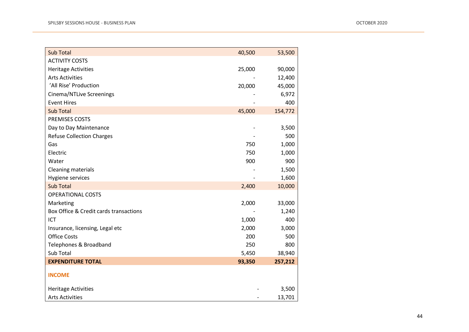| <b>Sub Total</b>                       | 40,500 | 53,500  |
|----------------------------------------|--------|---------|
| <b>ACTIVITY COSTS</b>                  |        |         |
| <b>Heritage Activities</b>             | 25,000 | 90,000  |
| <b>Arts Activities</b>                 |        | 12,400  |
| 'All Rise' Production                  | 20,000 | 45,000  |
| <b>Cinema/NTLive Screenings</b>        |        | 6,972   |
| <b>Event Hires</b>                     |        | 400     |
| <b>Sub Total</b>                       | 45,000 | 154,772 |
| PREMISES COSTS                         |        |         |
| Day to Day Maintenance                 |        | 3,500   |
| <b>Refuse Collection Charges</b>       |        | 500     |
| Gas                                    | 750    | 1,000   |
| Electric                               | 750    | 1,000   |
| Water                                  | 900    | 900     |
| <b>Cleaning materials</b>              |        | 1,500   |
| Hygiene services                       |        | 1,600   |
| <b>Sub Total</b>                       | 2,400  | 10,000  |
| <b>OPERATIONAL COSTS</b>               |        |         |
| Marketing                              | 2,000  | 33,000  |
| Box Office & Credit cards transactions |        | 1,240   |
| <b>ICT</b>                             | 1,000  | 400     |
| Insurance, licensing, Legal etc        | 2,000  | 3,000   |
| <b>Office Costs</b>                    | 200    | 500     |
| Telephones & Broadband                 | 250    | 800     |
| Sub Total                              | 5,450  | 38,940  |
| <b>EXPENDITURE TOTAL</b>               | 93,350 | 257,212 |
| <b>INCOME</b>                          |        |         |
| <b>Heritage Activities</b>             |        | 3,500   |
| <b>Arts Activities</b>                 |        | 13,701  |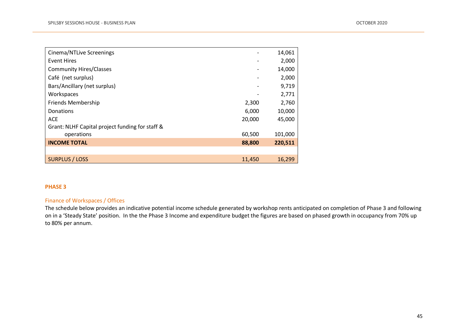| Cinema/NTLive Screenings                        |        | 14,061  |
|-------------------------------------------------|--------|---------|
| <b>Event Hires</b>                              |        | 2,000   |
| <b>Community Hires/Classes</b>                  |        | 14,000  |
| Café (net surplus)                              |        | 2,000   |
| Bars/Ancillary (net surplus)                    |        | 9,719   |
| Workspaces                                      |        | 2,771   |
| <b>Friends Membership</b>                       | 2,300  | 2,760   |
| Donations                                       | 6,000  | 10,000  |
| <b>ACE</b>                                      | 20,000 | 45,000  |
| Grant: NLHF Capital project funding for staff & |        |         |
| operations                                      | 60,500 | 101,000 |
| <b>INCOME TOTAL</b>                             | 88,800 | 220,511 |
|                                                 |        |         |
| <b>SURPLUS / LOSS</b>                           | 11,450 | 16,299  |

#### **PHASE 3**

#### Finance of Workspaces / Offices

The schedule below provides an indicative potential income schedule generated by workshop rents anticipated on completion of Phase 3 and following on in a 'Steady State' position. In the the Phase 3 Income and expenditure budget the figures are based on phased growth in occupancy from 70% up to 80% per annum.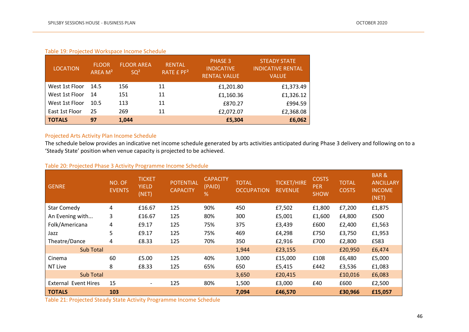#### Table 19: Projected Workspace Income Schedule

| <b>LOCATION</b> | <b>FLOOR</b><br>AREA M <sup>2</sup> | <b>FLOOR AREA</b><br>SQ <sup>2</sup> | <b>RENTAL</b><br>RATE £ PF <sup>2</sup> | PHASE 3<br><b>INDICATIVE</b><br><b>RENTAL VALUE</b> | <b>STEADY STATE</b><br><b>INDICATIVE RENTAL</b><br>VALUE |
|-----------------|-------------------------------------|--------------------------------------|-----------------------------------------|-----------------------------------------------------|----------------------------------------------------------|
| West 1st Floor  | 14.5                                | 156                                  | 11                                      | £1,201.80                                           | £1,373.49                                                |
| West 1st Floor  | 14                                  | 151                                  | 11                                      | £1,160.36                                           | £1,326.12                                                |
| West 1st Floor  | 10.5                                | 113                                  | 11                                      | £870.27                                             | £994.59                                                  |
| East 1st Floor  | 25                                  | 269                                  | 11                                      | £2,072.07                                           | £2,368.08                                                |
| <b>TOTALS</b>   | 97                                  | 1,044                                |                                         | £5,304                                              | £6,062                                                   |

#### Projected Arts Activity Plan Income Schedule

The schedule below provides an indicative net income schedule generated by arts activities anticipated during Phase 3 delivery and following on to a 'Steady State' position when venue capacity is projected to be achieved.

| <b>GENRE</b>                | NO. OF<br><b>EVENTS</b> | <b>TICKET</b><br><b>YIELD</b><br>(NET) | <b>POTENTIAL</b><br><b>CAPACITY</b> | <b>CAPACITY</b><br>(PAID)<br>% | <b>TOTAL</b><br><b>OCCUPATION</b> | <b>TICKET/HIRE</b><br><b>REVENUE</b> | <b>COSTS</b><br><b>PER</b><br><b>SHOW</b> | <b>TOTAL</b><br><b>COSTS</b> | <b>BAR&amp;</b><br><b>ANCILLARY</b><br><b>INCOME</b><br>(NET) |
|-----------------------------|-------------------------|----------------------------------------|-------------------------------------|--------------------------------|-----------------------------------|--------------------------------------|-------------------------------------------|------------------------------|---------------------------------------------------------------|
| <b>Star Comedy</b>          | 4                       | £16.67                                 | 125                                 | 90%                            | 450                               | £7,502                               | £1,800                                    | £7,200                       | £1,875                                                        |
| An Evening with             | 3                       | £16.67                                 | 125                                 | 80%                            | 300                               | £5,001                               | £1,600                                    | £4,800                       | £500                                                          |
| Folk/Americana              | 4                       | £9.17                                  | 125                                 | 75%                            | 375                               | £3,439                               | £600                                      | £2,400                       | £1,563                                                        |
| Jazz                        | 5                       | £9.17                                  | 125                                 | 75%                            | 469                               | £4,298                               | £750                                      | £3,750                       | £1,953                                                        |
| Theatre/Dance               | 4                       | £8.33                                  | 125                                 | 70%                            | 350                               | £2,916                               | £700                                      | £2,800                       | £583                                                          |
| Sub Total                   |                         |                                        |                                     |                                | 1,944                             | £23,155                              |                                           | £20,950                      | £6,474                                                        |
| Cinema                      | 60                      | £5.00                                  | 125                                 | 40%                            | 3,000                             | £15,000                              | £108                                      | £6,480                       | £5,000                                                        |
| <b>NT Live</b>              | 8                       | £8.33                                  | 125                                 | 65%                            | 650                               | £5,415                               | £442                                      | £3,536                       | £1,083                                                        |
| Sub Total                   |                         |                                        |                                     |                                | 3,650                             | £20,415                              |                                           | £10,016                      | £6,083                                                        |
| <b>External Event Hires</b> | 15                      | $\overline{\phantom{a}}$               | 125                                 | 80%                            | 1,500                             | £3,000                               | £40                                       | £600                         | £2,500                                                        |
| <b>TOTALS</b>               | 103                     |                                        |                                     |                                | 7,094                             | £46,570                              |                                           | £30,966                      | £15,057                                                       |

#### Table 20: Projected Phase 3 Activity Programme Income Schedule

Table 21: Projected Steady State Activity Programme Income Schedule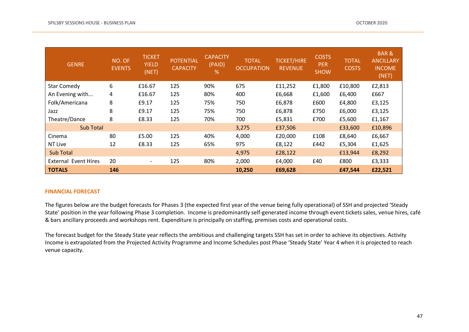| <b>GENRE</b>                | NO. OF<br><b>EVENTS</b> | <b>TICKET</b><br><b>YIELD</b><br>(NET) | <b>POTENTIAL</b><br><b>CAPACITY</b> | <b>CAPACITY</b><br>(PAID)<br>$\%$ | <b>TOTAL</b><br><b>OCCUPATION</b> | <b>TICKET/HIRE</b><br><b>REVENUE</b> | <b>COSTS</b><br><b>PER</b><br><b>SHOW</b> | <b>TOTAL</b><br><b>COSTS</b> | <b>BAR&amp;</b><br><b>ANCILLARY</b><br><b>INCOME</b><br>(NET) |
|-----------------------------|-------------------------|----------------------------------------|-------------------------------------|-----------------------------------|-----------------------------------|--------------------------------------|-------------------------------------------|------------------------------|---------------------------------------------------------------|
| <b>Star Comedy</b>          | 6                       | £16.67                                 | 125                                 | 90%                               | 675                               | £11,252                              | £1,800                                    | £10,800                      | £2,813                                                        |
| An Evening with             | 4                       | £16.67                                 | 125                                 | 80%                               | 400                               | £6,668                               | £1,600                                    | £6,400                       | £667                                                          |
| Folk/Americana              | 8                       | £9.17                                  | 125                                 | 75%                               | 750                               | £6,878                               | £600                                      | £4,800                       | £3,125                                                        |
| Jazz                        | 8                       | £9.17                                  | 125                                 | 75%                               | 750                               | £6,878                               | £750                                      | £6,000                       | £3,125                                                        |
| Theatre/Dance               | 8                       | £8.33                                  | 125                                 | 70%                               | 700                               | £5,831                               | £700                                      | £5,600                       | £1,167                                                        |
| Sub Total                   |                         |                                        |                                     |                                   | 3,275                             | £37,506                              |                                           | £33,600                      | £10,896                                                       |
| Cinema                      | 80                      | £5.00                                  | 125                                 | 40%                               | 4,000                             | £20,000                              | £108                                      | £8,640                       | £6,667                                                        |
| NT Live                     | 12                      | £8.33                                  | 125                                 | 65%                               | 975                               | £8,122                               | £442                                      | £5,304                       | £1,625                                                        |
| <b>Sub Total</b>            |                         |                                        |                                     |                                   | 4,975                             | £28,122                              |                                           | £13,944                      | £8,292                                                        |
| <b>External Event Hires</b> | 20                      | $\overline{\phantom{a}}$               | 125                                 | 80%                               | 2,000                             | £4,000                               | £40                                       | £800                         | £3,333                                                        |
| <b>TOTALS</b>               | 146                     |                                        |                                     |                                   | 10,250                            | £69,628                              |                                           | £47,544                      | £22,521                                                       |

#### **FINANCIAL FORECAST**

The figures below are the budget forecasts for Phases 3 (the expected first year of the venue being fully operational) of SSH and projected 'Steady State' position in the year following Phase 3 completion. Income is predominantly self-generated income through event tickets sales, venue hires, café & bars ancillary proceeds and workshops rent. Expenditure is principally on staffing, premises costs and operational costs.

The forecast budget for the Steady State year reflects the ambitious and challenging targets SSH has set in order to achieve its objectives. Activity Income is extrapolated from the Projected Activity Programme and Income Schedules post Phase 'Steady State' Year 4 when it is projected to reach venue capacity.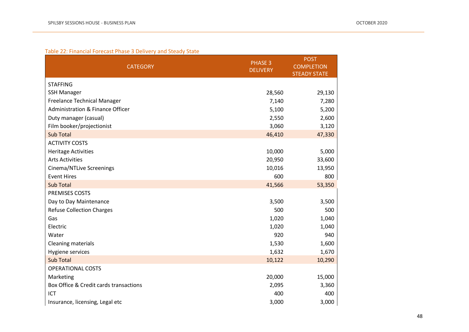### Table 22: Financial Forecast Phase 3 Delivery and Steady State

| <b>CATEGORY</b>                        | <b>PHASE 3</b><br><b>DELIVERY</b> | <b>POST</b><br><b>COMPLETION</b><br><b>STEADY STATE</b> |
|----------------------------------------|-----------------------------------|---------------------------------------------------------|
| <b>STAFFING</b>                        |                                   |                                                         |
| <b>SSH Manager</b>                     | 28,560                            | 29,130                                                  |
| <b>Freelance Technical Manager</b>     | 7,140                             | 7,280                                                   |
| Administration & Finance Officer       | 5,100                             | 5,200                                                   |
| Duty manager (casual)                  | 2,550                             | 2,600                                                   |
| Film booker/projectionist              | 3,060                             | 3,120                                                   |
| <b>Sub Total</b>                       | 46,410                            | 47,330                                                  |
| <b>ACTIVITY COSTS</b>                  |                                   |                                                         |
| <b>Heritage Activities</b>             | 10,000                            | 5,000                                                   |
| <b>Arts Activities</b>                 | 20,950                            | 33,600                                                  |
| Cinema/NTLive Screenings               | 10,016                            | 13,950                                                  |
| <b>Event Hires</b>                     | 600                               | 800                                                     |
| <b>Sub Total</b>                       | 41,566                            | 53,350                                                  |
| PREMISES COSTS                         |                                   |                                                         |
| Day to Day Maintenance                 | 3,500                             | 3,500                                                   |
| <b>Refuse Collection Charges</b>       | 500                               | 500                                                     |
| Gas                                    | 1,020                             | 1,040                                                   |
| Electric                               | 1,020                             | 1,040                                                   |
| Water                                  | 920                               | 940                                                     |
| <b>Cleaning materials</b>              | 1,530                             | 1,600                                                   |
| Hygiene services                       | 1,632                             | 1,670                                                   |
| <b>Sub Total</b>                       | 10,122                            | 10,290                                                  |
| <b>OPERATIONAL COSTS</b>               |                                   |                                                         |
| Marketing                              | 20,000                            | 15,000                                                  |
| Box Office & Credit cards transactions | 2,095                             | 3,360                                                   |
| <b>ICT</b>                             | 400                               | 400                                                     |
| Insurance, licensing, Legal etc        | 3,000                             | 3,000                                                   |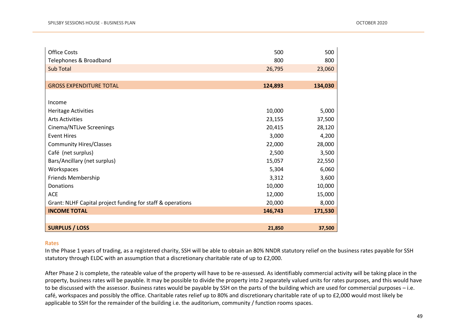| <b>Office Costs</b>                                        | 500     | 500     |
|------------------------------------------------------------|---------|---------|
| Telephones & Broadband                                     | 800     | 800     |
| <b>Sub Total</b>                                           | 26,795  | 23,060  |
|                                                            |         |         |
| <b>GROSS EXPENDITURE TOTAL</b>                             | 124,893 | 134,030 |
|                                                            |         |         |
| Income                                                     |         |         |
| <b>Heritage Activities</b>                                 | 10,000  | 5,000   |
| <b>Arts Activities</b>                                     | 23,155  | 37,500  |
| Cinema/NTLive Screenings                                   | 20,415  | 28,120  |
| <b>Event Hires</b>                                         | 3,000   | 4,200   |
| <b>Community Hires/Classes</b>                             | 22,000  | 28,000  |
| Café (net surplus)                                         | 2,500   | 3,500   |
| Bars/Ancillary (net surplus)                               | 15,057  | 22,550  |
| Workspaces                                                 | 5,304   | 6,060   |
| Friends Membership                                         | 3,312   | 3,600   |
| Donations                                                  | 10,000  | 10,000  |
| ACE                                                        | 12,000  | 15,000  |
| Grant: NLHF Capital project funding for staff & operations | 20,000  | 8,000   |
| <b>INCOME TOTAL</b>                                        | 146,743 | 171,530 |
|                                                            |         |         |
| <b>SURPLUS / LOSS</b>                                      | 21,850  | 37,500  |

#### Rates

In the Phase 1 years of trading, as a registered charity, SSH will be able to obtain an 80% NNDR statutory relief on the business rates payable for SSH statutory through ELDC with an assumption that a discretionary charitable rate of up to £2,000.

After Phase 2 is complete, the rateable value of the property will have to be re-assessed. As identifiably commercial activity will be taking place in the property, business rates will be payable. It may be possible to divide the property into 2 separately valued units for rates purposes, and this would have to be discussed with the assessor. Business rates would be payable by SSH on the parts of the building which are used for commercial purposes – i.e. café, workspaces and possibly the office. Charitable rates relief up to 80% and discretionary charitable rate of up to £2,000 would most likely be applicable to SSH for the remainder of the building i.e. the auditorium, community / function rooms spaces.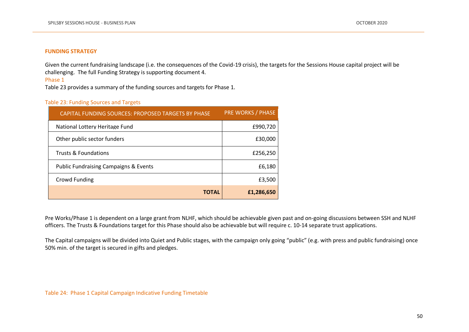#### **FUNDING STRATEGY**

Given the current fundraising landscape (i.e. the consequences of the Covid-19 crisis), the targets for the Sessions House capital project will be challenging. The full Funding Strategy is supporting document 4.

Phase 1

Table 23 provides a summary of the funding sources and targets for Phase 1.

#### Table 23: Funding Sources and Targets

| CAPITAL FUNDING SOURCES: PROPOSED TARGETS BY PHASE | <b>PRE WORKS / PHASE</b> |
|----------------------------------------------------|--------------------------|
| National Lottery Heritage Fund                     | £990,720                 |
| Other public sector funders                        | £30,000                  |
| Trusts & Foundations                               | £256,250                 |
| <b>Public Fundraising Campaigns &amp; Events</b>   | £6,180                   |
| Crowd Funding                                      | £3,500                   |
| <b>TOTAL</b>                                       | £1,286,650               |

Pre Works/Phase 1 is dependent on a large grant from NLHF, which should be achievable given past and on-going discussions between SSH and NLHF officers. The Trusts & Foundations target for this Phase should also be achievable but will require c. 10-14 separate trust applications.

The Capital campaigns will be divided into Quiet and Public stages, with the campaign only going "public" (e.g. with press and public fundraising) once 50% min. of the target is secured in gifts and pledges.

Table 24: Phase 1 Capital Campaign Indicative Funding Timetable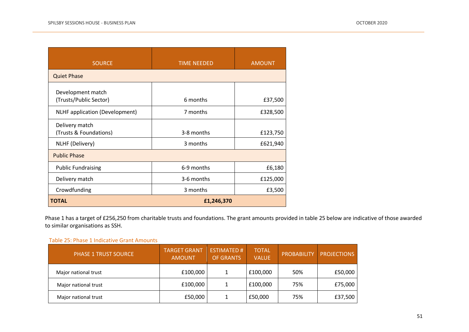| <b>SOURCE</b>                                               | <b>TIME NEEDED</b>     | <b>AMOUNT</b>        |  |  |  |  |
|-------------------------------------------------------------|------------------------|----------------------|--|--|--|--|
| <b>Quiet Phase</b>                                          |                        |                      |  |  |  |  |
| Development match<br>(Trusts/Public Sector)                 | 6 months               | £37,500              |  |  |  |  |
| <b>NLHF</b> application (Development)                       | 7 months               | £328,500             |  |  |  |  |
| Delivery match<br>(Trusts & Foundations)<br>NLHF (Delivery) | 3-8 months<br>3 months | £123,750<br>£621,940 |  |  |  |  |
| <b>Public Phase</b>                                         |                        |                      |  |  |  |  |
| <b>Public Fundraising</b>                                   | 6-9 months             | £6,180               |  |  |  |  |
| Delivery match                                              | 3-6 months             | £125,000             |  |  |  |  |
| Crowdfunding                                                | 3 months               | £3,500               |  |  |  |  |
| <b>TOTAL</b>                                                | £1,246,370             |                      |  |  |  |  |

Phase 1 has a target of £256,250 from charitable trusts and foundations. The grant amounts provided in table 25 below are indicative of those awarded to similar organisations as SSH.

#### Table 25: Phase 1 Indicative Grant Amounts

| <b>PHASE 1 TRUST SOURCE</b> | <b>TARGET GRANT</b><br><b>AMOUNT</b> | <b>ESTIMATED#</b><br><b>OF GRANTS</b> | <b>TOTAL</b><br><b>VALUE</b> | <b>PROBABILITY</b> | <b>PROJECTIONS</b> |
|-----------------------------|--------------------------------------|---------------------------------------|------------------------------|--------------------|--------------------|
| Major national trust        | £100,000                             |                                       | £100,000                     | 50%                | £50,000            |
| Major national trust        | £100,000                             |                                       | £100,000                     | 75%                | £75,000            |
| Major national trust        | £50,000                              |                                       | £50,000                      | 75%                | £37,500            |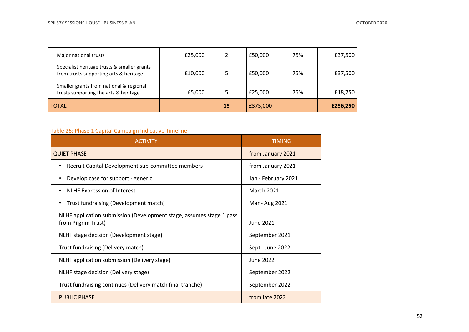| Major national trusts                                                                 | £25,000 |    | £50,000  | 75% | £37,500  |
|---------------------------------------------------------------------------------------|---------|----|----------|-----|----------|
| Specialist heritage trusts & smaller grants<br>from trusts supporting arts & heritage | £10,000 |    | £50,000  | 75% | £37,500  |
| Smaller grants from national & regional<br>trusts supporting the arts & heritage      | £5,000  |    | £25,000  | 75% | £18,750  |
| <b>TOTAL</b>                                                                          |         | 15 | £375,000 |     | £256,250 |

### Table 26: Phase 1 Capital Campaign Indicative Timeline

| <b>ACTIVITY</b>                                                                             | <b>TIMING</b>       |
|---------------------------------------------------------------------------------------------|---------------------|
| <b>QUIET PHASE</b>                                                                          | from January 2021   |
| Recruit Capital Development sub-committee members<br>٠                                      | from January 2021   |
| Develop case for support - generic<br>٠                                                     | Jan - February 2021 |
| <b>NLHF Expression of Interest</b><br>٠                                                     | <b>March 2021</b>   |
| Trust fundraising (Development match)<br>٠                                                  | Mar - Aug 2021      |
| NLHF application submission (Development stage, assumes stage 1 pass<br>from Pilgrim Trust) | June 2021           |
| NLHF stage decision (Development stage)                                                     | September 2021      |
| Trust fundraising (Delivery match)                                                          | Sept - June 2022    |
| NLHF application submission (Delivery stage)                                                | June 2022           |
| NLHF stage decision (Delivery stage)                                                        | September 2022      |
| Trust fundraising continues (Delivery match final tranche)                                  | September 2022      |
| <b>PUBLIC PHASE</b>                                                                         | from late 2022      |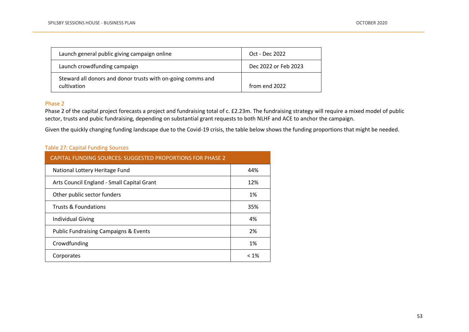| Launch general public giving campaign online                               | Oct - Dec 2022       |
|----------------------------------------------------------------------------|----------------------|
| Launch crowdfunding campaign                                               | Dec 2022 or Feb 2023 |
| Steward all donors and donor trusts with on-going comms and<br>cultivation | from end 2022        |

### Phase 2

Phase 2 of the capital project forecasts a project and fundraising total of c. £2.23m. The fundraising strategy will require a mixed model of public sector, trusts and pubic fundraising, depending on substantial grant requests to both NLHF and ACE to anchor the campaign.

Given the quickly changing funding landscape due to the Covid-19 crisis, the table below shows the funding proportions that might be needed.

#### Table 27: Capital Funding Sources

| <b>CAPITAL FUNDING SOURCES: SUGGESTED PROPORTIONS FOR PHASE 2</b> |         |  |  |  |
|-------------------------------------------------------------------|---------|--|--|--|
| National Lottery Heritage Fund                                    | 44%     |  |  |  |
| Arts Council England - Small Capital Grant                        | 12%     |  |  |  |
| Other public sector funders                                       | 1%      |  |  |  |
| <b>Trusts &amp; Foundations</b>                                   | 35%     |  |  |  |
| Individual Giving                                                 | 4%      |  |  |  |
| <b>Public Fundraising Campaigns &amp; Events</b>                  | 2%      |  |  |  |
| Crowdfunding                                                      | 1%      |  |  |  |
| Corporates                                                        | $< 1\%$ |  |  |  |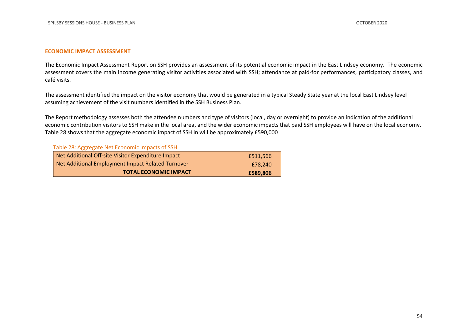#### **ECONOMIC IMPACT ASSESSMENT**

The Economic Impact Assessment Report on SSH provides an assessment of its potential economic impact in the East Lindsey economy. The economic assessment covers the main income generating visitor activities associated with SSH; attendance at paid-for performances, participatory classes, and café visits.

The assessment identified the impact on the visitor economy that would be generated in a typical Steady State year at the local East Lindsey level assuming achievement of the visit numbers identified in the SSH Business Plan.

The Report methodology assesses both the attendee numbers and type of visitors (local, day or overnight) to provide an indication of the additional economic contribution visitors to SSH make in the local area, and the wider economic impacts that paid SSH employees will have on the local economy. Table 28 shows that the aggregate economic impact of SSH in will be approximately £590,000

#### Table 28: Aggregate Net Economic Impacts of SSH

| Net Additional Off-site Visitor Expenditure Impact | £511.566 |
|----------------------------------------------------|----------|
| Net Additional Employment Impact Related Turnover  | £78.240  |
| <b>TOTAL ECONOMIC IMPACT</b>                       | £589.806 |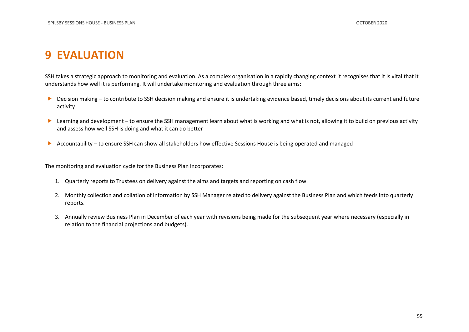# <span id="page-54-0"></span>**9 EVALUATION**

SSH takes a strategic approach to monitoring and evaluation. As a complex organisation in a rapidly changing context it recognises that it is vital that it understands how well it is performing. It will undertake monitoring and evaluation through three aims:

- ▶ Decision making to contribute to SSH decision making and ensure it is undertaking evidence based, timely decisions about its current and future activity
- ▶ Learning and development to ensure the SSH management learn about what is working and what is not, allowing it to build on previous activity and assess how well SSH is doing and what it can do better
- Accountability to ensure SSH can show all stakeholders how effective Sessions House is being operated and managed

The monitoring and evaluation cycle for the Business Plan incorporates:

- 1. Quarterly reports to Trustees on delivery against the aims and targets and reporting on cash flow.
- 2. Monthly collection and collation of information by SSH Manager related to delivery against the Business Plan and which feeds into quarterly reports.
- 3. Annually review Business Plan in December of each year with revisions being made for the subsequent year where necessary (especially in relation to the financial projections and budgets).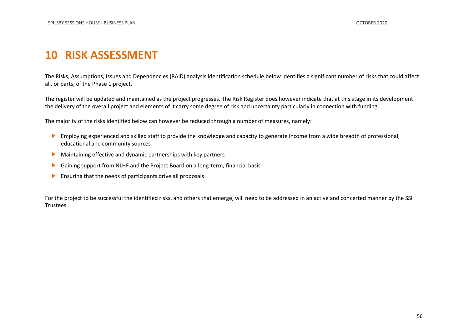# <span id="page-55-0"></span>**10 RISK ASSESSMENT**

The Risks, Assumptions, Issues and Dependencies (RAID) analysis identification schedule below identifies a significant number of risks that could affect all, or parts, of the Phase 1 project.

The register will be updated and maintained as the project progresses. The Risk Register does however indicate that at this stage in its development the delivery of the overall project and elements of it carry some degree of risk and uncertainty particularly in connection with funding.

The majority of the risks identified below can however be reduced through a number of measures, namely:

- Employing experienced and skilled staff to provide the knowledge and capacity to generate income from a wide breadth of professional, educational and community sources
- Maintaining effective and dynamic partnerships with key partners
- Gaining support from NLHF and the Project Board on a long-term, financial basis
- $\blacktriangleright$  Ensuring that the needs of participants drive all proposals

For the project to be successful the identified risks, and others that emerge, will need to be addressed in an active and concerted manner by the SSH Trustees.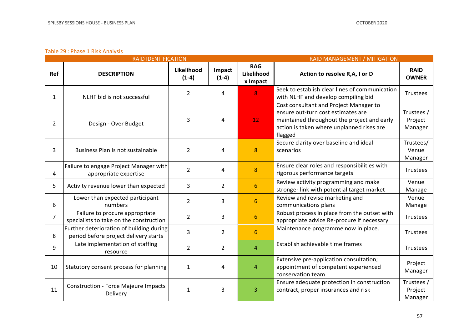### Table 29 : Phase 1 Risk Analysis

|                | <b>RAID IDENTIFICATION</b>                                                        | RAID MANAGEMENT / MITIGATION |                   |                                      |                                                                                                                                                                                     |                                  |
|----------------|-----------------------------------------------------------------------------------|------------------------------|-------------------|--------------------------------------|-------------------------------------------------------------------------------------------------------------------------------------------------------------------------------------|----------------------------------|
| Ref            | <b>DESCRIPTION</b>                                                                | Likelihood<br>$(1-4)$        | Impact<br>$(1-4)$ | <b>RAG</b><br>Likelihood<br>x Impact | Action to resolve R,A, I or D                                                                                                                                                       | <b>RAID</b><br><b>OWNER</b>      |
| $\mathbf{1}$   | NLHF bid is not successful                                                        | $\overline{2}$               | 4                 | 8                                    | Seek to establish clear lines of communication<br>with NLHF and develop compiling bid                                                                                               | Trustees                         |
| $\overline{2}$ | Design - Over Budget                                                              | 3                            | 4                 | 12 <sub>1</sub>                      | Cost consultant and Project Manager to<br>ensure out-turn cost estimates are<br>maintained throughout the project and early<br>action is taken where unplanned rises are<br>flagged | Trustees /<br>Project<br>Manager |
| 3              | Business Plan is not sustainable                                                  | $\overline{2}$               | 4                 | 8                                    | Secure clarity over baseline and ideal<br>scenarios                                                                                                                                 | Trustees/<br>Venue<br>Manager    |
| 4              | Failure to engage Project Manager with<br>appropriate expertise                   | $\overline{2}$               | 4                 | 8                                    | Ensure clear roles and responsibilities with<br>rigorous performance targets                                                                                                        | Trustees                         |
| 5              | Activity revenue lower than expected                                              | 3                            | $\overline{2}$    | $6\phantom{1}6$                      | Review activity programming and make<br>stronger link with potential target market                                                                                                  | Venue<br>Manage                  |
| 6              | Lower than expected participant<br>numbers                                        | $\overline{2}$               | 3                 | $6\phantom{1}6$                      | Review and revise marketing and<br>communications plans                                                                                                                             | Venue<br>Manage                  |
| $\overline{7}$ | Failure to procure appropriate<br>specialists to take on the construction         | $\overline{2}$               | 3                 | $6\overline{6}$                      | Robust process in place from the outset with<br>appropriate advice Re-procure if necessary                                                                                          | Trustees                         |
| 8              | Further deterioration of building during<br>period before project delivery starts | 3                            | $\overline{2}$    | 6                                    | Maintenance programme now in place.                                                                                                                                                 | Trustees                         |
| 9              | Late implementation of staffing<br>resource                                       | $\overline{2}$               | $\overline{2}$    | $\overline{4}$                       | Establish achievable time frames                                                                                                                                                    | Trustees                         |
| 10             | Statutory consent process for planning                                            | $\mathbf{1}$                 | 4                 | $\overline{A}$                       | Extensive pre-application consultation;<br>appointment of competent experienced<br>conservation team.                                                                               | Project<br>Manager               |
| 11             | <b>Construction - Force Majeure Impacts</b><br>Delivery                           | $\mathbf{1}$                 | 3                 | 3                                    | Ensure adequate protection in construction<br>contract, proper insurances and risk                                                                                                  | Trustees /<br>Project<br>Manager |